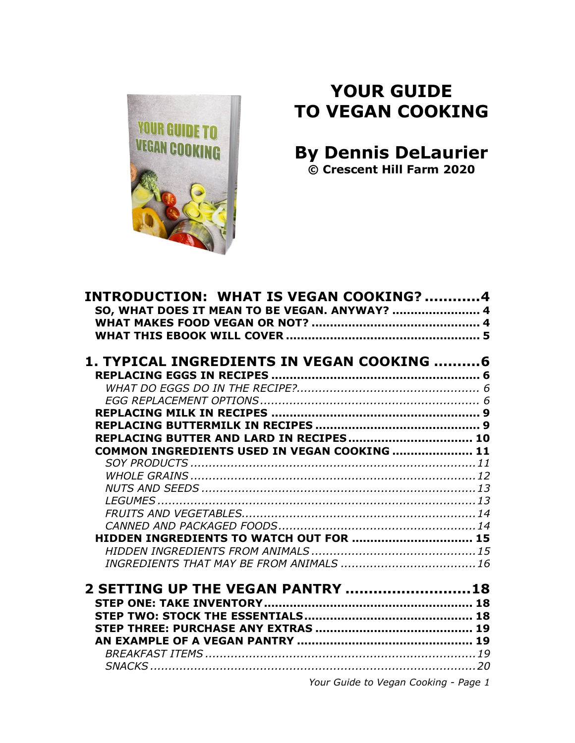

# **YOUR GUIDE TO VEGAN COOKING**

# **By Dennis DeLaurier**

**© Crescent Hill Farm 2020**

| INTRODUCTION: WHAT IS VEGAN COOKING? 4        |  |
|-----------------------------------------------|--|
| SO, WHAT DOES IT MEAN TO BE VEGAN. ANYWAY?  4 |  |
|                                               |  |
|                                               |  |
|                                               |  |
| 1. TYPICAL INGREDIENTS IN VEGAN COOKING 6     |  |
|                                               |  |
|                                               |  |
|                                               |  |
|                                               |  |
|                                               |  |
| REPLACING BUTTER AND LARD IN RECIPES 10       |  |
| COMMON INGREDIENTS USED IN VEGAN COOKING  11  |  |
|                                               |  |
|                                               |  |
|                                               |  |
|                                               |  |
|                                               |  |
|                                               |  |
| HIDDEN INGREDIENTS TO WATCH OUT FOR  15       |  |
|                                               |  |
|                                               |  |
|                                               |  |
| 2 SETTING UP THE VEGAN PANTRY 18              |  |
|                                               |  |
|                                               |  |
|                                               |  |
|                                               |  |
|                                               |  |
|                                               |  |

*Your Guide to Vegan Cooking - Page 1*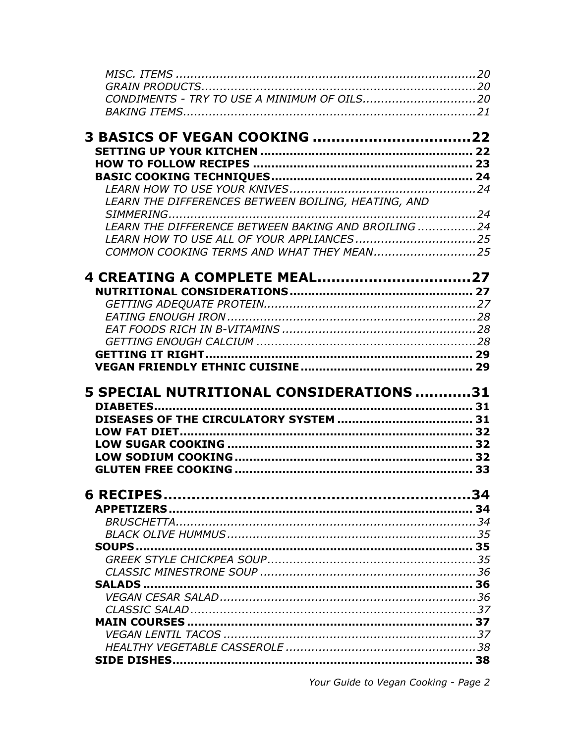| LEARN THE DIFFERENCES BETWEEN BOILING, HEATING, AND |  |
|-----------------------------------------------------|--|
|                                                     |  |
| LEARN THE DIFFERENCE BETWEEN BAKING AND BROILING 24 |  |
|                                                     |  |
| COMMON COOKING TERMS AND WHAT THEY MEAN25           |  |
|                                                     |  |
|                                                     |  |
|                                                     |  |
|                                                     |  |
|                                                     |  |
|                                                     |  |
|                                                     |  |
|                                                     |  |
|                                                     |  |
|                                                     |  |
|                                                     |  |
| 5 SPECIAL NUTRITIONAL CONSIDERATIONS 31             |  |
|                                                     |  |
|                                                     |  |
|                                                     |  |
|                                                     |  |
|                                                     |  |
|                                                     |  |
|                                                     |  |
|                                                     |  |
|                                                     |  |
|                                                     |  |
|                                                     |  |
|                                                     |  |
|                                                     |  |
|                                                     |  |
|                                                     |  |
|                                                     |  |
|                                                     |  |
|                                                     |  |
|                                                     |  |
|                                                     |  |

Your Guide to Vegan Cooking - Page 2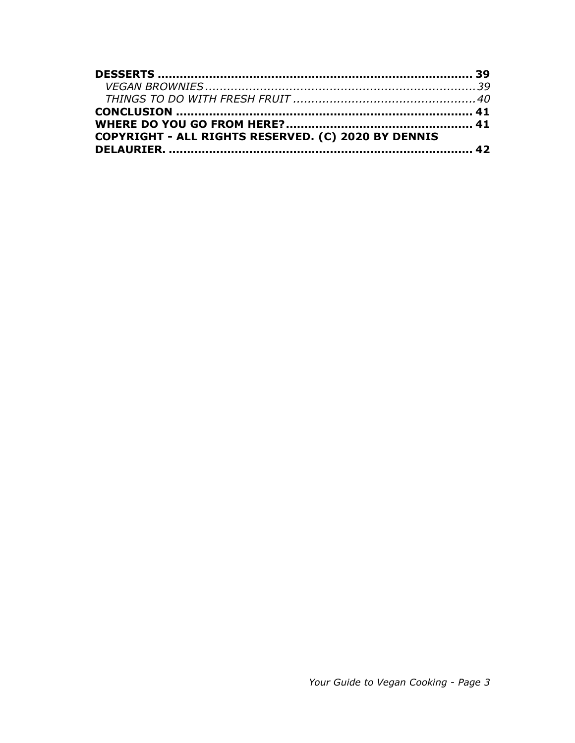| COPYRIGHT - ALL RIGHTS RESERVED. (C) 2020 BY DENNIS |  |
|-----------------------------------------------------|--|
|                                                     |  |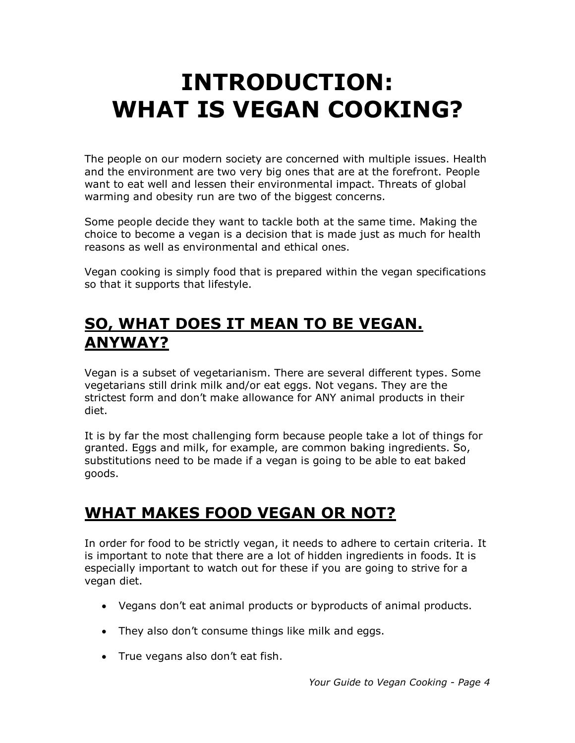# <span id="page-3-0"></span>**INTRODUCTION: WHAT IS VEGAN COOKING?**

The people on our modern society are concerned with multiple issues. Health and the environment are two very big ones that are at the forefront. People want to eat well and lessen their environmental impact. Threats of global warming and obesity run are two of the biggest concerns.

Some people decide they want to tackle both at the same time. Making the choice to become a vegan is a decision that is made just as much for health reasons as well as environmental and ethical ones.

Vegan cooking is simply food that is prepared within the vegan specifications so that it supports that lifestyle.

# <span id="page-3-1"></span>**SO, WHAT DOES IT MEAN TO BE VEGAN. ANYWAY?**

Vegan is a subset of vegetarianism. There are several different types. Some vegetarians still drink milk and/or eat eggs. Not vegans. They are the strictest form and don't make allowance for ANY animal products in their diet.

It is by far the most challenging form because people take a lot of things for granted. Eggs and milk, for example, are common baking ingredients. So, substitutions need to be made if a vegan is going to be able to eat baked goods.

# <span id="page-3-2"></span>**WHAT MAKES FOOD VEGAN OR NOT?**

In order for food to be strictly vegan, it needs to adhere to certain criteria. It is important to note that there are a lot of hidden ingredients in foods. It is especially important to watch out for these if you are going to strive for a vegan diet.

- Vegans don't eat animal products or byproducts of animal products.
- They also don't consume things like milk and eggs.
- True vegans also don't eat fish.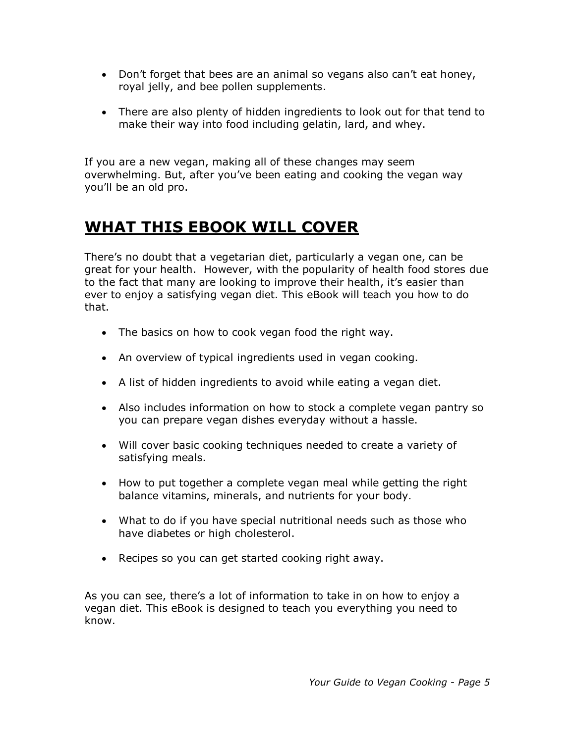- Don't forget that bees are an animal so vegans also can't eat honey, royal jelly, and bee pollen supplements.
- There are also plenty of hidden ingredients to look out for that tend to make their way into food including gelatin, lard, and whey.

If you are a new vegan, making all of these changes may seem overwhelming. But, after you've been eating and cooking the vegan way you'll be an old pro.

# <span id="page-4-0"></span>**WHAT THIS EBOOK WILL COVER**

There's no doubt that a vegetarian diet, particularly a vegan one, can be great for your health. However, with the popularity of health food stores due to the fact that many are looking to improve their health, it's easier than ever to enjoy a satisfying vegan diet. This eBook will teach you how to do that.

- The basics on how to cook vegan food the right way.
- An overview of typical ingredients used in vegan cooking.
- A list of hidden ingredients to avoid while eating a vegan diet.
- Also includes information on how to stock a complete vegan pantry so you can prepare vegan dishes everyday without a hassle.
- Will cover basic cooking techniques needed to create a variety of satisfying meals.
- How to put together a complete vegan meal while getting the right balance vitamins, minerals, and nutrients for your body.
- What to do if you have special nutritional needs such as those who have diabetes or high cholesterol.
- Recipes so you can get started cooking right away.

As you can see, there's a lot of information to take in on how to enjoy a vegan diet. This eBook is designed to teach you everything you need to know.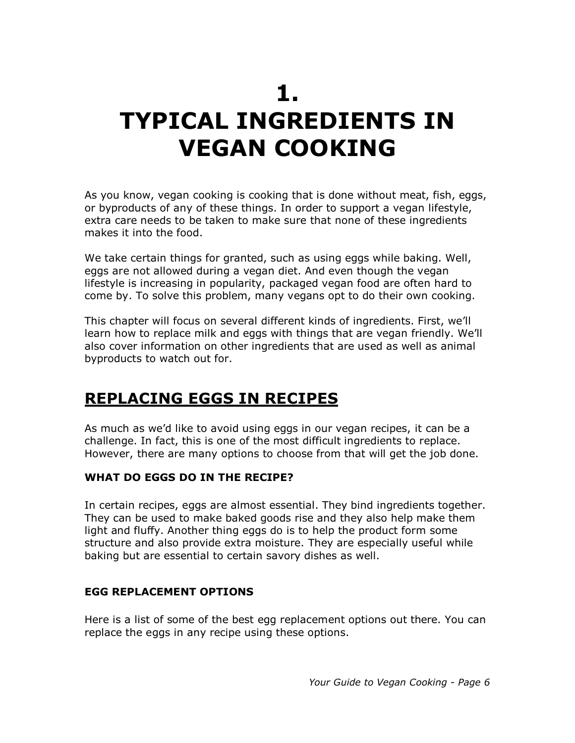# <span id="page-5-0"></span>**1. TYPICAL INGREDIENTS IN VEGAN COOKING**

As you know, vegan cooking is cooking that is done without meat, fish, eggs, or byproducts of any of these things. In order to support a vegan lifestyle, extra care needs to be taken to make sure that none of these ingredients makes it into the food.

We take certain things for granted, such as using eggs while baking. Well, eggs are not allowed during a vegan diet. And even though the vegan lifestyle is increasing in popularity, packaged vegan food are often hard to come by. To solve this problem, many vegans opt to do their own cooking.

This chapter will focus on several different kinds of ingredients. First, we'll learn how to replace milk and eggs with things that are vegan friendly. We'll also cover information on other ingredients that are used as well as animal byproducts to watch out for.

# <span id="page-5-1"></span>**REPLACING EGGS IN RECIPES**

As much as we'd like to avoid using eggs in our vegan recipes, it can be a challenge. In fact, this is one of the most difficult ingredients to replace. However, there are many options to choose from that will get the job done.

#### <span id="page-5-2"></span>**WHAT DO EGGS DO IN THE RECIPE?**

In certain recipes, eggs are almost essential. They bind ingredients together. They can be used to make baked goods rise and they also help make them light and fluffy. Another thing eggs do is to help the product form some structure and also provide extra moisture. They are especially useful while baking but are essential to certain savory dishes as well.

#### <span id="page-5-3"></span>**EGG REPLACEMENT OPTIONS**

Here is a list of some of the best egg replacement options out there. You can replace the eggs in any recipe using these options.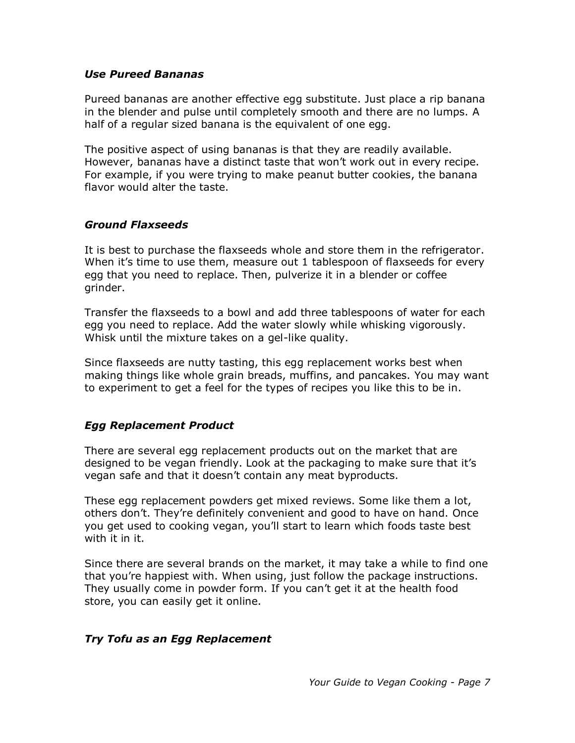#### *Use Pureed Bananas*

Pureed bananas are another effective egg substitute. Just place a rip banana in the blender and pulse until completely smooth and there are no lumps. A half of a regular sized banana is the equivalent of one egg.

The positive aspect of using bananas is that they are readily available. However, bananas have a distinct taste that won't work out in every recipe. For example, if you were trying to make peanut butter cookies, the banana flavor would alter the taste.

#### *Ground Flaxseeds*

It is best to purchase the flaxseeds whole and store them in the refrigerator. When it's time to use them, measure out 1 tablespoon of flaxseeds for every egg that you need to replace. Then, pulverize it in a blender or coffee grinder.

Transfer the flaxseeds to a bowl and add three tablespoons of water for each egg you need to replace. Add the water slowly while whisking vigorously. Whisk until the mixture takes on a gel-like quality.

Since flaxseeds are nutty tasting, this egg replacement works best when making things like whole grain breads, muffins, and pancakes. You may want to experiment to get a feel for the types of recipes you like this to be in.

#### *Egg Replacement Product*

There are several egg replacement products out on the market that are designed to be vegan friendly. Look at the packaging to make sure that it's vegan safe and that it doesn't contain any meat byproducts.

These egg replacement powders get mixed reviews. Some like them a lot, others don't. They're definitely convenient and good to have on hand. Once you get used to cooking vegan, you'll start to learn which foods taste best with it in it.

Since there are several brands on the market, it may take a while to find one that you're happiest with. When using, just follow the package instructions. They usually come in powder form. If you can't get it at the health food store, you can easily get it online.

#### *Try Tofu as an Egg Replacement*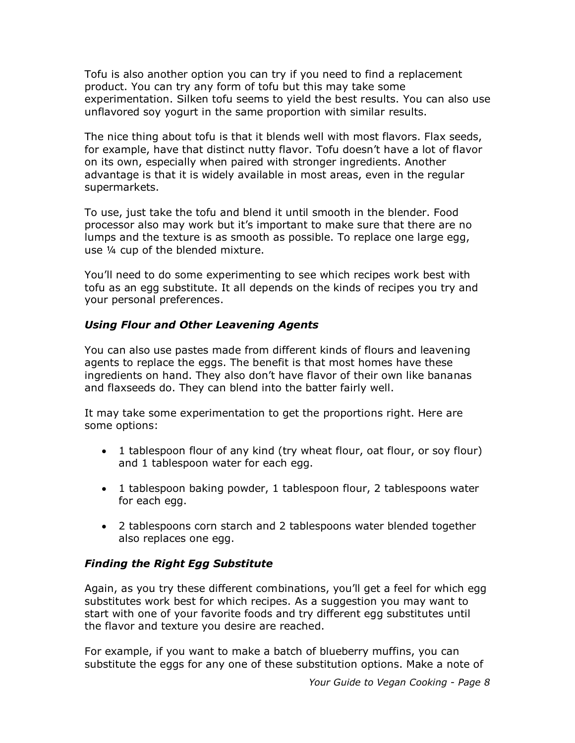Tofu is also another option you can try if you need to find a replacement product. You can try any form of tofu but this may take some experimentation. Silken tofu seems to yield the best results. You can also use unflavored soy yogurt in the same proportion with similar results.

The nice thing about tofu is that it blends well with most flavors. Flax seeds, for example, have that distinct nutty flavor. Tofu doesn't have a lot of flavor on its own, especially when paired with stronger ingredients. Another advantage is that it is widely available in most areas, even in the regular supermarkets.

To use, just take the tofu and blend it until smooth in the blender. Food processor also may work but it's important to make sure that there are no lumps and the texture is as smooth as possible. To replace one large egg, use ¼ cup of the blended mixture.

You'll need to do some experimenting to see which recipes work best with tofu as an egg substitute. It all depends on the kinds of recipes you try and your personal preferences.

#### *Using Flour and Other Leavening Agents*

You can also use pastes made from different kinds of flours and leavening agents to replace the eggs. The benefit is that most homes have these ingredients on hand. They also don't have flavor of their own like bananas and flaxseeds do. They can blend into the batter fairly well.

It may take some experimentation to get the proportions right. Here are some options:

- 1 tablespoon flour of any kind (try wheat flour, oat flour, or soy flour) and 1 tablespoon water for each egg.
- 1 tablespoon baking powder, 1 tablespoon flour, 2 tablespoons water for each egg.
- 2 tablespoons corn starch and 2 tablespoons water blended together also replaces one egg.

#### *Finding the Right Egg Substitute*

Again, as you try these different combinations, you'll get a feel for which egg substitutes work best for which recipes. As a suggestion you may want to start with one of your favorite foods and try different egg substitutes until the flavor and texture you desire are reached.

For example, if you want to make a batch of blueberry muffins, you can substitute the eggs for any one of these substitution options. Make a note of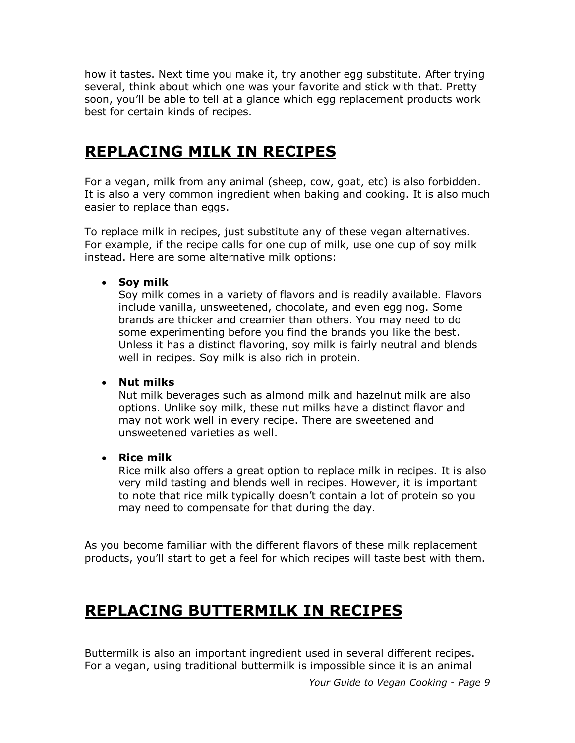how it tastes. Next time you make it, try another egg substitute. After trying several, think about which one was your favorite and stick with that. Pretty soon, you'll be able to tell at a glance which egg replacement products work best for certain kinds of recipes.

# <span id="page-8-0"></span>**REPLACING MILK IN RECIPES**

For a vegan, milk from any animal (sheep, cow, goat, etc) is also forbidden. It is also a very common ingredient when baking and cooking. It is also much easier to replace than eggs.

To replace milk in recipes, just substitute any of these vegan alternatives. For example, if the recipe calls for one cup of milk, use one cup of soy milk instead. Here are some alternative milk options:

**Soy milk**

Soy milk comes in a variety of flavors and is readily available. Flavors include vanilla, unsweetened, chocolate, and even egg nog. Some brands are thicker and creamier than others. You may need to do some experimenting before you find the brands you like the best. Unless it has a distinct flavoring, soy milk is fairly neutral and blends well in recipes. Soy milk is also rich in protein.

#### **Nut milks**

Nut milk beverages such as almond milk and hazelnut milk are also options. Unlike soy milk, these nut milks have a distinct flavor and may not work well in every recipe. There are sweetened and unsweetened varieties as well.

#### **Rice milk**

Rice milk also offers a great option to replace milk in recipes. It is also very mild tasting and blends well in recipes. However, it is important to note that rice milk typically doesn't contain a lot of protein so you may need to compensate for that during the day.

As you become familiar with the different flavors of these milk replacement products, you'll start to get a feel for which recipes will taste best with them.

# <span id="page-8-1"></span>**REPLACING BUTTERMILK IN RECIPES**

Buttermilk is also an important ingredient used in several different recipes. For a vegan, using traditional buttermilk is impossible since it is an animal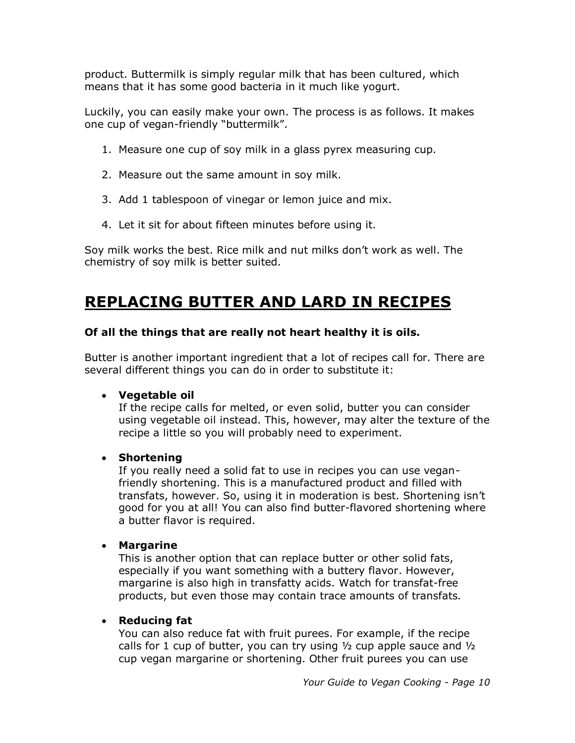product. Buttermilk is simply regular milk that has been cultured, which means that it has some good bacteria in it much like yogurt.

Luckily, you can easily make your own. The process is as follows. It makes one cup of vegan-friendly "buttermilk".

- 1. Measure one cup of soy milk in a glass pyrex measuring cup.
- 2. Measure out the same amount in soy milk.
- 3. Add 1 tablespoon of vinegar or lemon juice and mix.
- 4. Let it sit for about fifteen minutes before using it.

Soy milk works the best. Rice milk and nut milks don't work as well. The chemistry of soy milk is better suited.

# <span id="page-9-0"></span>**REPLACING BUTTER AND LARD IN RECIPES**

#### **Of all the things that are really not heart healthy it is oils.**

Butter is another important ingredient that a lot of recipes call for. There are several different things you can do in order to substitute it:

#### **Vegetable oil**

If the recipe calls for melted, or even solid, butter you can consider using vegetable oil instead. This, however, may alter the texture of the recipe a little so you will probably need to experiment.

#### **Shortening**

If you really need a solid fat to use in recipes you can use veganfriendly shortening. This is a manufactured product and filled with transfats, however. So, using it in moderation is best. Shortening isn't good for you at all! You can also find butter-flavored shortening where a butter flavor is required.

#### **Margarine**

This is another option that can replace butter or other solid fats, especially if you want something with a buttery flavor. However, margarine is also high in transfatty acids. Watch for transfat-free products, but even those may contain trace amounts of transfats.

#### **Reducing fat**

You can also reduce fat with fruit purees. For example, if the recipe calls for 1 cup of butter, you can try using  $\frac{1}{2}$  cup apple sauce and  $\frac{1}{2}$ cup vegan margarine or shortening. Other fruit purees you can use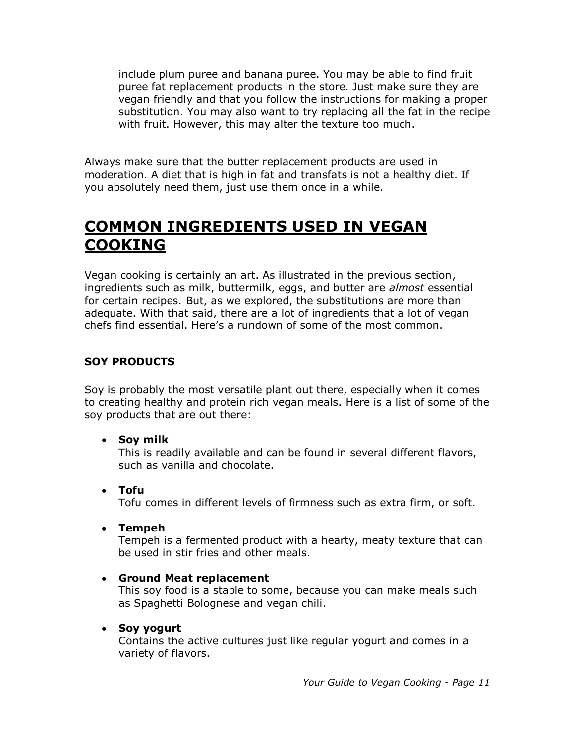include plum puree and banana puree. You may be able to find fruit puree fat replacement products in the store. Just make sure they are vegan friendly and that you follow the instructions for making a proper substitution. You may also want to try replacing all the fat in the recipe with fruit. However, this may alter the texture too much.

Always make sure that the butter replacement products are used in moderation. A diet that is high in fat and transfats is not a healthy diet. If you absolutely need them, just use them once in a while.

# <span id="page-10-0"></span>**COMMON INGREDIENTS USED IN VEGAN COOKING**

Vegan cooking is certainly an art. As illustrated in the previous section, ingredients such as milk, buttermilk, eggs, and butter are *almost* essential for certain recipes. But, as we explored, the substitutions are more than adequate. With that said, there are a lot of ingredients that a lot of vegan chefs find essential. Here's a rundown of some of the most common.

#### <span id="page-10-1"></span>**SOY PRODUCTS**

Soy is probably the most versatile plant out there, especially when it comes to creating healthy and protein rich vegan meals. Here is a list of some of the soy products that are out there:

#### **Soy milk**

This is readily available and can be found in several different flavors, such as vanilla and chocolate.

**Tofu**

Tofu comes in different levels of firmness such as extra firm, or soft.

**Tempeh**

Tempeh is a fermented product with a hearty, meaty texture that can be used in stir fries and other meals.

#### **Ground Meat replacement**

This soy food is a staple to some, because you can make meals such as Spaghetti Bolognese and vegan chili.

#### **Soy yogurt**

Contains the active cultures just like regular yogurt and comes in a variety of flavors.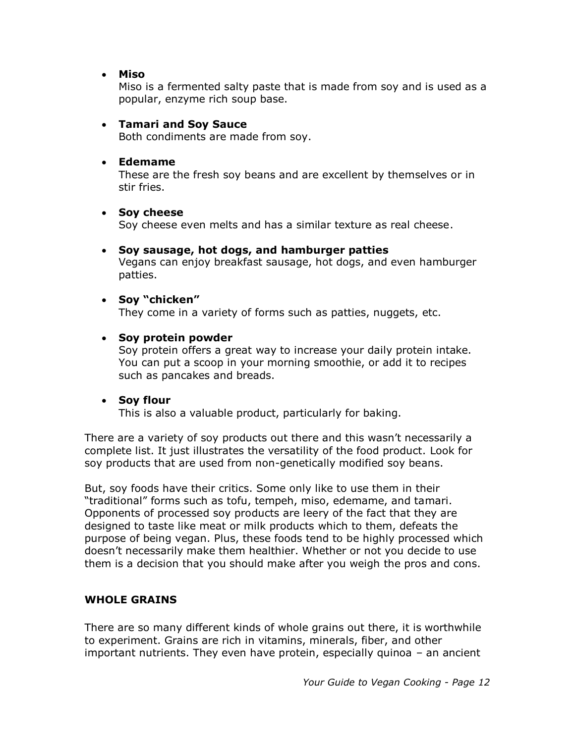**Miso** 

Miso is a fermented salty paste that is made from soy and is used as a popular, enzyme rich soup base.

#### **Tamari and Soy Sauce**

Both condiments are made from soy.

#### **Edemame**

These are the fresh soy beans and are excellent by themselves or in stir fries.

#### **Soy cheese**

Soy cheese even melts and has a similar texture as real cheese.

 **Soy sausage, hot dogs, and hamburger patties**  Vegans can enjoy breakfast sausage, hot dogs, and even hamburger patties.

#### **Soy "chicken"**

They come in a variety of forms such as patties, nuggets, etc.

#### **Soy protein powder**

Soy protein offers a great way to increase your daily protein intake. You can put a scoop in your morning smoothie, or add it to recipes such as pancakes and breads.

#### **Soy flour**

This is also a valuable product, particularly for baking.

There are a variety of soy products out there and this wasn't necessarily a complete list. It just illustrates the versatility of the food product. Look for soy products that are used from non-genetically modified soy beans.

But, soy foods have their critics. Some only like to use them in their "traditional" forms such as tofu, tempeh, miso, edemame, and tamari. Opponents of processed soy products are leery of the fact that they are designed to taste like meat or milk products which to them, defeats the purpose of being vegan. Plus, these foods tend to be highly processed which doesn't necessarily make them healthier. Whether or not you decide to use them is a decision that you should make after you weigh the pros and cons.

#### <span id="page-11-0"></span>**WHOLE GRAINS**

There are so many different kinds of whole grains out there, it is worthwhile to experiment. Grains are rich in vitamins, minerals, fiber, and other important nutrients. They even have protein, especially quinoa – an ancient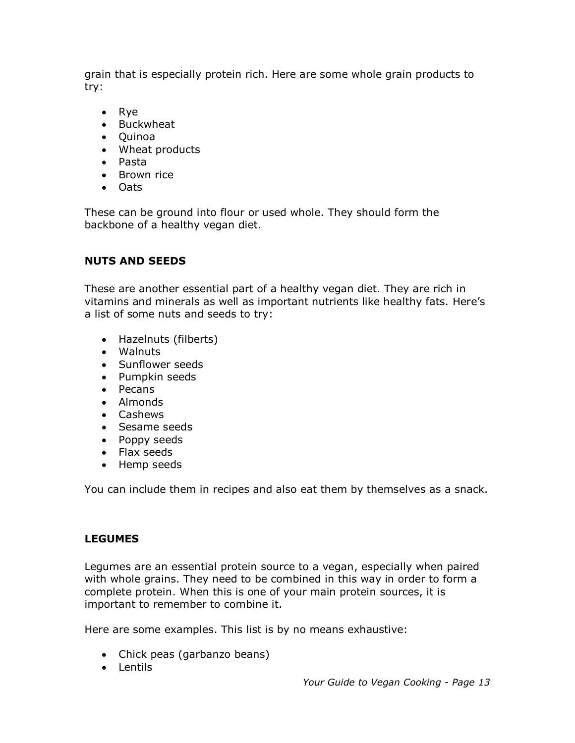grain that is especially protein rich. Here are some whole grain products to try:

- Rye
- Buckwheat
- Quinoa
- Wheat products
- Pasta
- Brown rice
- Oats

These can be ground into flour or used whole. They should form the backbone of a healthy vegan diet.

#### <span id="page-12-0"></span>**NUTS AND SEEDS**

These are another essential part of a healthy vegan diet. They are rich in vitamins and minerals as well as important nutrients like healthy fats. Here's a list of some nuts and seeds to try:

- Hazelnuts (filberts)
- Walnuts
- Sunflower seeds
- Pumpkin seeds
- Pecans
- Almonds
- Cashews
- Sesame seeds
- Poppy seeds
- Flax seeds
- Hemp seeds

You can include them in recipes and also eat them by themselves as a snack.

#### <span id="page-12-1"></span>**LEGUMES**

Legumes are an essential protein source to a vegan, especially when paired with whole grains. They need to be combined in this way in order to form a complete protein. When this is one of your main protein sources, it is important to remember to combine it.

Here are some examples. This list is by no means exhaustive:

- Chick peas (garbanzo beans)
- $\bullet$  Lentils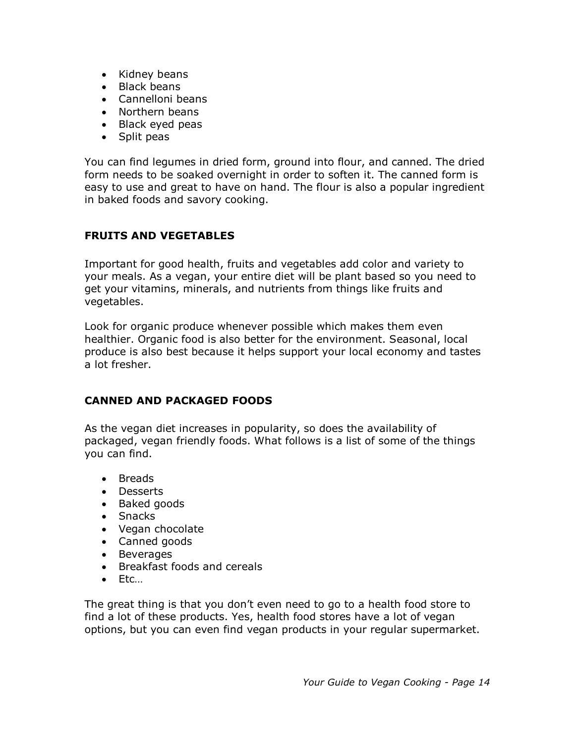- Kidney beans
- Black beans
- Cannelloni beans
- Northern beans
- Black eyed peas
- Split peas

You can find legumes in dried form, ground into flour, and canned. The dried form needs to be soaked overnight in order to soften it. The canned form is easy to use and great to have on hand. The flour is also a popular ingredient in baked foods and savory cooking.

#### <span id="page-13-0"></span>**FRUITS AND VEGETABLES**

Important for good health, fruits and vegetables add color and variety to your meals. As a vegan, your entire diet will be plant based so you need to get your vitamins, minerals, and nutrients from things like fruits and vegetables.

Look for organic produce whenever possible which makes them even healthier. Organic food is also better for the environment. Seasonal, local produce is also best because it helps support your local economy and tastes a lot fresher.

#### <span id="page-13-1"></span>**CANNED AND PACKAGED FOODS**

As the vegan diet increases in popularity, so does the availability of packaged, vegan friendly foods. What follows is a list of some of the things you can find.

- Breads
- Desserts
- Baked goods
- Snacks
- Vegan chocolate
- Canned goods
- Beverages
- Breakfast foods and cereals
- Etc…

The great thing is that you don't even need to go to a health food store to find a lot of these products. Yes, health food stores have a lot of vegan options, but you can even find vegan products in your regular supermarket.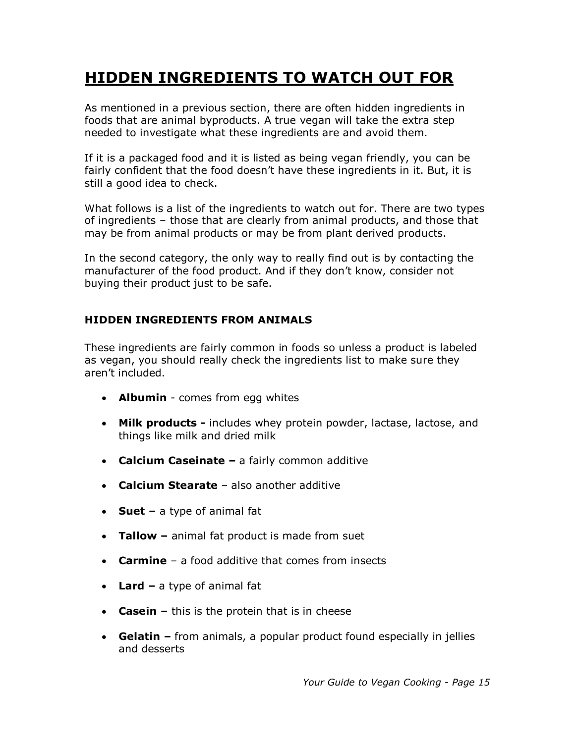# <span id="page-14-0"></span>**HIDDEN INGREDIENTS TO WATCH OUT FOR**

As mentioned in a previous section, there are often hidden ingredients in foods that are animal byproducts. A true vegan will take the extra step needed to investigate what these ingredients are and avoid them.

If it is a packaged food and it is listed as being vegan friendly, you can be fairly confident that the food doesn't have these ingredients in it. But, it is still a good idea to check.

What follows is a list of the ingredients to watch out for. There are two types of ingredients – those that are clearly from animal products, and those that may be from animal products or may be from plant derived products.

In the second category, the only way to really find out is by contacting the manufacturer of the food product. And if they don't know, consider not buying their product just to be safe.

#### <span id="page-14-1"></span>**HIDDEN INGREDIENTS FROM ANIMALS**

These ingredients are fairly common in foods so unless a product is labeled as vegan, you should really check the ingredients list to make sure they aren't included.

- **Albumin** comes from egg whites
- **Milk products -** includes whey protein powder, lactase, lactose, and things like milk and dried milk
- **Calcium Caseinate –** a fairly common additive
- **Calcium Stearate**  also another additive
- **Suet –** a type of animal fat
- **Tallow –** animal fat product is made from suet
- **Carmine**  a food additive that comes from insects
- **Lard –** a type of animal fat
- **Casein –** this is the protein that is in cheese
- **Gelatin –** from animals, a popular product found especially in jellies and desserts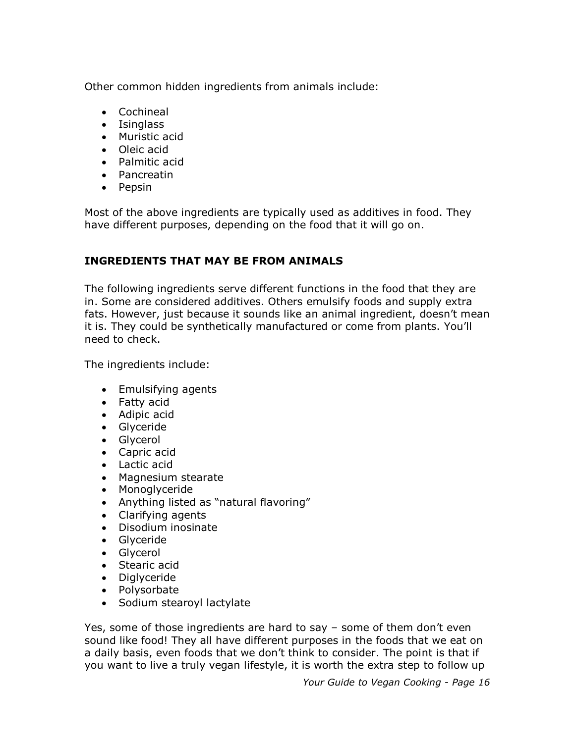Other common hidden ingredients from animals include:

- Cochineal
- Isinglass
- Muristic acid
- Oleic acid
- Palmitic acid
- Pancreatin
- Pepsin

Most of the above ingredients are typically used as additives in food. They have different purposes, depending on the food that it will go on.

#### <span id="page-15-0"></span>**INGREDIENTS THAT MAY BE FROM ANIMALS**

The following ingredients serve different functions in the food that they are in. Some are considered additives. Others emulsify foods and supply extra fats. However, just because it sounds like an animal ingredient, doesn't mean it is. They could be synthetically manufactured or come from plants. You'll need to check.

The ingredients include:

- Emulsifying agents
- Fatty acid
- Adipic acid
- Glyceride
- Glycerol
- Capric acid
- Lactic acid
- Magnesium stearate
- Monoglyceride
- Anything listed as "natural flavoring"
- Clarifying agents
- Disodium inosinate
- Glyceride
- Glycerol
- Stearic acid
- Diglyceride
- Polysorbate
- Sodium stearoyl lactylate

Yes, some of those ingredients are hard to say – some of them don't even sound like food! They all have different purposes in the foods that we eat on a daily basis, even foods that we don't think to consider. The point is that if you want to live a truly vegan lifestyle, it is worth the extra step to follow up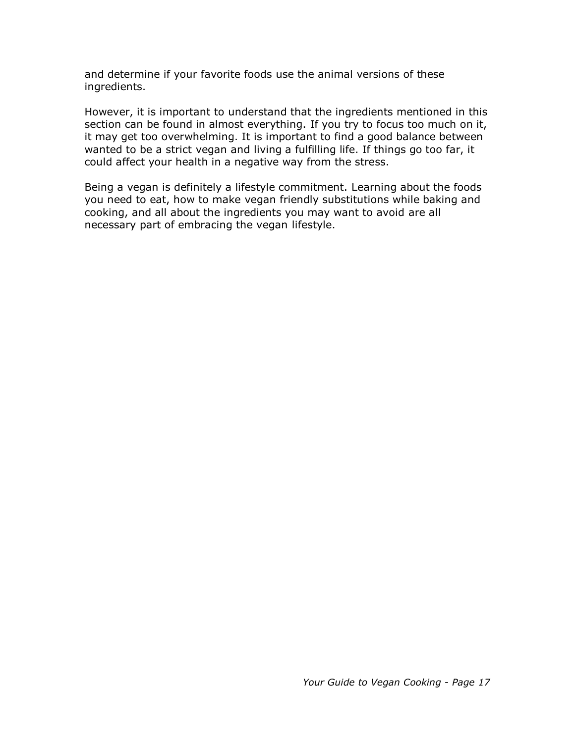and determine if your favorite foods use the animal versions of these ingredients.

However, it is important to understand that the ingredients mentioned in this section can be found in almost everything. If you try to focus too much on it, it may get too overwhelming. It is important to find a good balance between wanted to be a strict vegan and living a fulfilling life. If things go too far, it could affect your health in a negative way from the stress.

Being a vegan is definitely a lifestyle commitment. Learning about the foods you need to eat, how to make vegan friendly substitutions while baking and cooking, and all about the ingredients you may want to avoid are all necessary part of embracing the vegan lifestyle.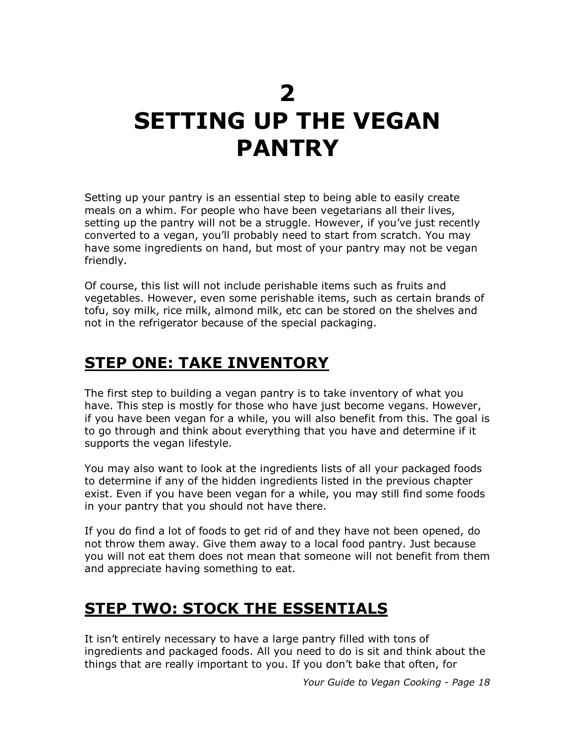# <span id="page-17-0"></span>**2 SETTING UP THE VEGAN PANTRY**

Setting up your pantry is an essential step to being able to easily create meals on a whim. For people who have been vegetarians all their lives, setting up the pantry will not be a struggle. However, if you've just recently converted to a vegan, you'll probably need to start from scratch. You may have some ingredients on hand, but most of your pantry may not be vegan friendly.

Of course, this list will not include perishable items such as fruits and vegetables. However, even some perishable items, such as certain brands of tofu, soy milk, rice milk, almond milk, etc can be stored on the shelves and not in the refrigerator because of the special packaging.

# <span id="page-17-1"></span>**STEP ONE: TAKE INVENTORY**

The first step to building a vegan pantry is to take inventory of what you have. This step is mostly for those who have just become vegans. However, if you have been vegan for a while, you will also benefit from this. The goal is to go through and think about everything that you have and determine if it supports the vegan lifestyle.

You may also want to look at the ingredients lists of all your packaged foods to determine if any of the hidden ingredients listed in the previous chapter exist. Even if you have been vegan for a while, you may still find some foods in your pantry that you should not have there.

If you do find a lot of foods to get rid of and they have not been opened, do not throw them away. Give them away to a local food pantry. Just because you will not eat them does not mean that someone will not benefit from them and appreciate having something to eat.

# <span id="page-17-2"></span>**STEP TWO: STOCK THE ESSENTIALS**

It isn't entirely necessary to have a large pantry filled with tons of ingredients and packaged foods. All you need to do is sit and think about the things that are really important to you. If you don't bake that often, for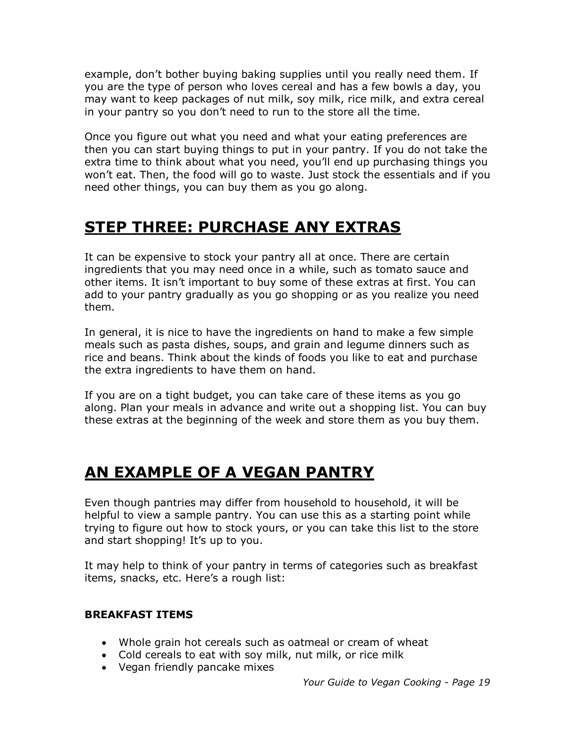example, don't bother buying baking supplies until you really need them. If you are the type of person who loves cereal and has a few bowls a day, you may want to keep packages of nut milk, soy milk, rice milk, and extra cereal in your pantry so you don't need to run to the store all the time.

Once you figure out what you need and what your eating preferences are then you can start buying things to put in your pantry. If you do not take the extra time to think about what you need, you'll end up purchasing things you won't eat. Then, the food will go to waste. Just stock the essentials and if you need other things, you can buy them as you go along.

# <span id="page-18-0"></span>**STEP THREE: PURCHASE ANY EXTRAS**

It can be expensive to stock your pantry all at once. There are certain ingredients that you may need once in a while, such as tomato sauce and other items. It isn't important to buy some of these extras at first. You can add to your pantry gradually as you go shopping or as you realize you need them.

In general, it is nice to have the ingredients on hand to make a few simple meals such as pasta dishes, soups, and grain and legume dinners such as rice and beans. Think about the kinds of foods you like to eat and purchase the extra ingredients to have them on hand.

If you are on a tight budget, you can take care of these items as you go along. Plan your meals in advance and write out a shopping list. You can buy these extras at the beginning of the week and store them as you buy them.

# <span id="page-18-1"></span>**AN EXAMPLE OF A VEGAN PANTRY**

Even though pantries may differ from household to household, it will be helpful to view a sample pantry. You can use this as a starting point while trying to figure out how to stock yours, or you can take this list to the store and start shopping! It's up to you.

It may help to think of your pantry in terms of categories such as breakfast items, snacks, etc. Here's a rough list:

#### <span id="page-18-2"></span>**BREAKFAST ITEMS**

- Whole grain hot cereals such as oatmeal or cream of wheat
- Cold cereals to eat with soy milk, nut milk, or rice milk
- Vegan friendly pancake mixes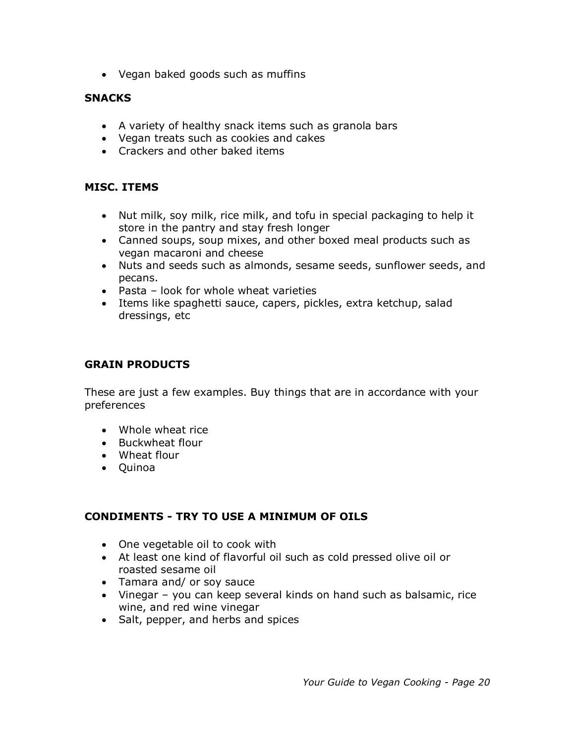Vegan baked goods such as muffins

#### <span id="page-19-0"></span>**SNACKS**

- A variety of healthy snack items such as granola bars
- Vegan treats such as cookies and cakes
- Crackers and other baked items

#### <span id="page-19-1"></span>**MISC. ITEMS**

- Nut milk, soy milk, rice milk, and tofu in special packaging to help it store in the pantry and stay fresh longer
- Canned soups, soup mixes, and other boxed meal products such as vegan macaroni and cheese
- Nuts and seeds such as almonds, sesame seeds, sunflower seeds, and pecans.
- $\bullet$  Pasta look for whole wheat varieties
- Items like spaghetti sauce, capers, pickles, extra ketchup, salad dressings, etc

#### <span id="page-19-2"></span>**GRAIN PRODUCTS**

These are just a few examples. Buy things that are in accordance with your preferences

- Whole wheat rice
- Buckwheat flour
- Wheat flour
- Quinoa

#### <span id="page-19-3"></span>**CONDIMENTS - TRY TO USE A MINIMUM OF OILS**

- One vegetable oil to cook with
- At least one kind of flavorful oil such as cold pressed olive oil or roasted sesame oil
- Tamara and/ or soy sauce
- Vinegar you can keep several kinds on hand such as balsamic, rice wine, and red wine vinegar
- Salt, pepper, and herbs and spices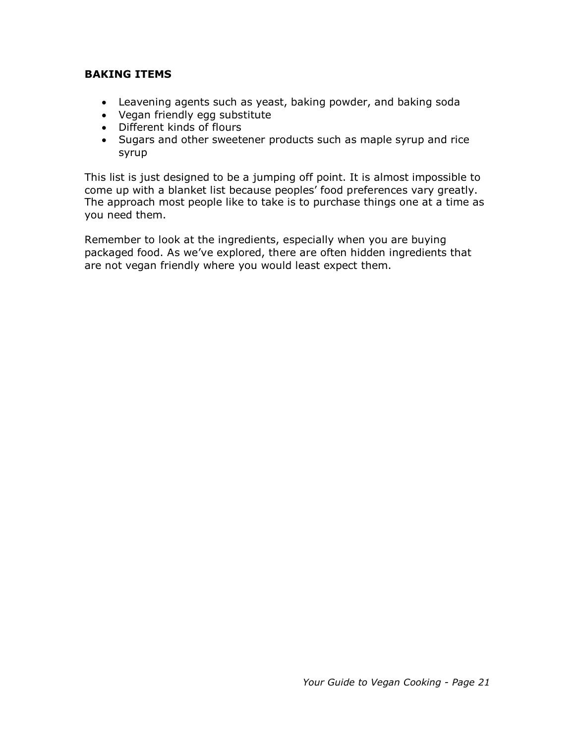#### <span id="page-20-0"></span>**BAKING ITEMS**

- Leavening agents such as yeast, baking powder, and baking soda
- Vegan friendly egg substitute
- Different kinds of flours
- Sugars and other sweetener products such as maple syrup and rice syrup

This list is just designed to be a jumping off point. It is almost impossible to come up with a blanket list because peoples' food preferences vary greatly. The approach most people like to take is to purchase things one at a time as you need them.

Remember to look at the ingredients, especially when you are buying packaged food. As we've explored, there are often hidden ingredients that are not vegan friendly where you would least expect them.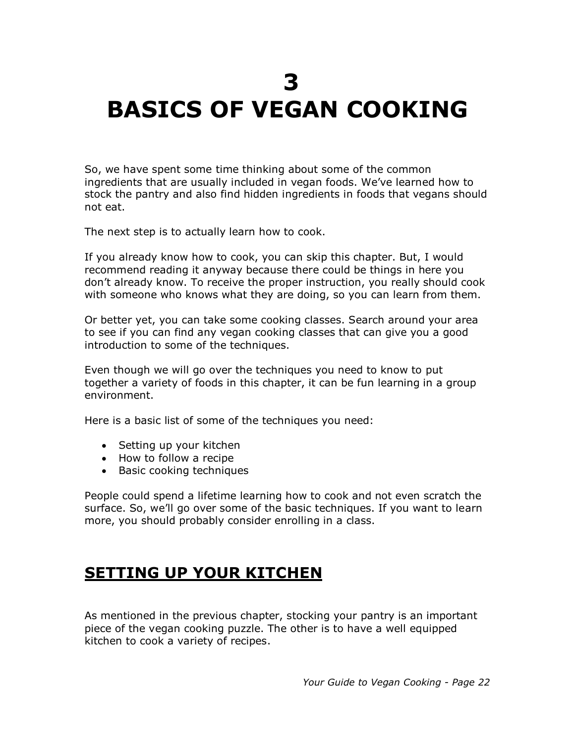# <span id="page-21-0"></span>**3 BASICS OF VEGAN COOKING**

So, we have spent some time thinking about some of the common ingredients that are usually included in vegan foods. We've learned how to stock the pantry and also find hidden ingredients in foods that vegans should not eat.

The next step is to actually learn how to cook.

If you already know how to cook, you can skip this chapter. But, I would recommend reading it anyway because there could be things in here you don't already know. To receive the proper instruction, you really should cook with someone who knows what they are doing, so you can learn from them.

Or better yet, you can take some cooking classes. Search around your area to see if you can find any vegan cooking classes that can give you a good introduction to some of the techniques.

Even though we will go over the techniques you need to know to put together a variety of foods in this chapter, it can be fun learning in a group environment.

Here is a basic list of some of the techniques you need:

- Setting up your kitchen
- How to follow a recipe
- Basic cooking techniques

People could spend a lifetime learning how to cook and not even scratch the surface. So, we'll go over some of the basic techniques. If you want to learn more, you should probably consider enrolling in a class.

# <span id="page-21-1"></span>**SETTING UP YOUR KITCHEN**

As mentioned in the previous chapter, stocking your pantry is an important piece of the vegan cooking puzzle. The other is to have a well equipped kitchen to cook a variety of recipes.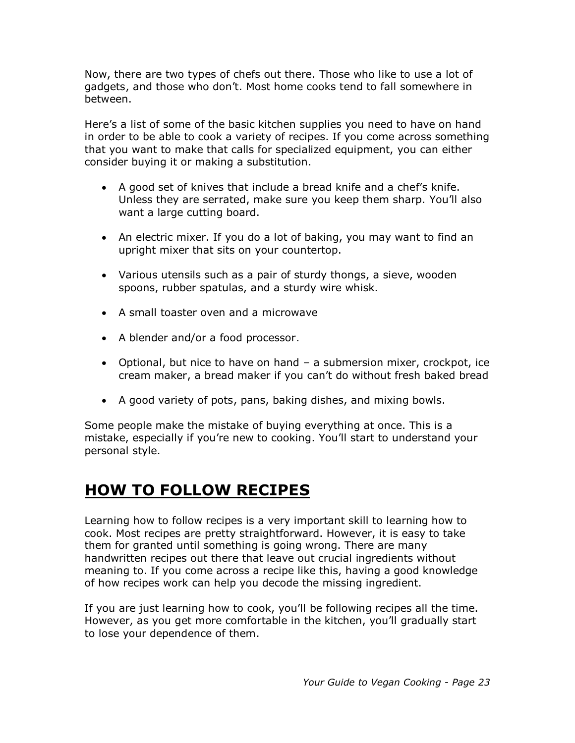Now, there are two types of chefs out there. Those who like to use a lot of gadgets, and those who don't. Most home cooks tend to fall somewhere in between.

Here's a list of some of the basic kitchen supplies you need to have on hand in order to be able to cook a variety of recipes. If you come across something that you want to make that calls for specialized equipment, you can either consider buying it or making a substitution.

- A good set of knives that include a bread knife and a chef's knife. Unless they are serrated, make sure you keep them sharp. You'll also want a large cutting board.
- An electric mixer. If you do a lot of baking, you may want to find an upright mixer that sits on your countertop.
- Various utensils such as a pair of sturdy thongs, a sieve, wooden spoons, rubber spatulas, and a sturdy wire whisk.
- A small toaster oven and a microwave
- A blender and/or a food processor.
- Optional, but nice to have on hand a submersion mixer, crockpot, ice cream maker, a bread maker if you can't do without fresh baked bread
- A good variety of pots, pans, baking dishes, and mixing bowls.

Some people make the mistake of buying everything at once. This is a mistake, especially if you're new to cooking. You'll start to understand your personal style.

# <span id="page-22-0"></span>**HOW TO FOLLOW RECIPES**

Learning how to follow recipes is a very important skill to learning how to cook. Most recipes are pretty straightforward. However, it is easy to take them for granted until something is going wrong. There are many handwritten recipes out there that leave out crucial ingredients without meaning to. If you come across a recipe like this, having a good knowledge of how recipes work can help you decode the missing ingredient.

If you are just learning how to cook, you'll be following recipes all the time. However, as you get more comfortable in the kitchen, you'll gradually start to lose your dependence of them.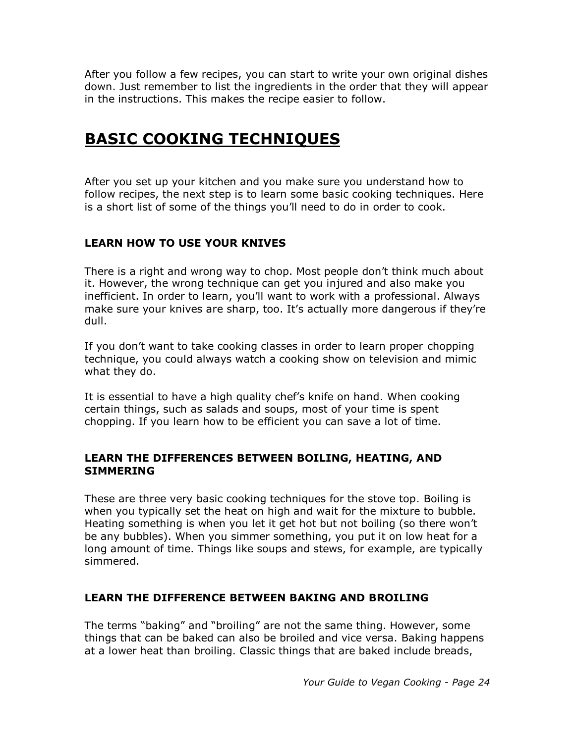After you follow a few recipes, you can start to write your own original dishes down. Just remember to list the ingredients in the order that they will appear in the instructions. This makes the recipe easier to follow.

# <span id="page-23-0"></span>**BASIC COOKING TECHNIQUES**

After you set up your kitchen and you make sure you understand how to follow recipes, the next step is to learn some basic cooking techniques. Here is a short list of some of the things you'll need to do in order to cook.

#### <span id="page-23-1"></span>**LEARN HOW TO USE YOUR KNIVES**

There is a right and wrong way to chop. Most people don't think much about it. However, the wrong technique can get you injured and also make you inefficient. In order to learn, you'll want to work with a professional. Always make sure your knives are sharp, too. It's actually more dangerous if they're dull.

If you don't want to take cooking classes in order to learn proper chopping technique, you could always watch a cooking show on television and mimic what they do.

It is essential to have a high quality chef's knife on hand. When cooking certain things, such as salads and soups, most of your time is spent chopping. If you learn how to be efficient you can save a lot of time.

#### <span id="page-23-2"></span>**LEARN THE DIFFERENCES BETWEEN BOILING, HEATING, AND SIMMERING**

These are three very basic cooking techniques for the stove top. Boiling is when you typically set the heat on high and wait for the mixture to bubble. Heating something is when you let it get hot but not boiling (so there won't be any bubbles). When you simmer something, you put it on low heat for a long amount of time. Things like soups and stews, for example, are typically simmered.

#### <span id="page-23-3"></span>**LEARN THE DIFFERENCE BETWEEN BAKING AND BROILING**

The terms "baking" and "broiling" are not the same thing. However, some things that can be baked can also be broiled and vice versa. Baking happens at a lower heat than broiling. Classic things that are baked include breads,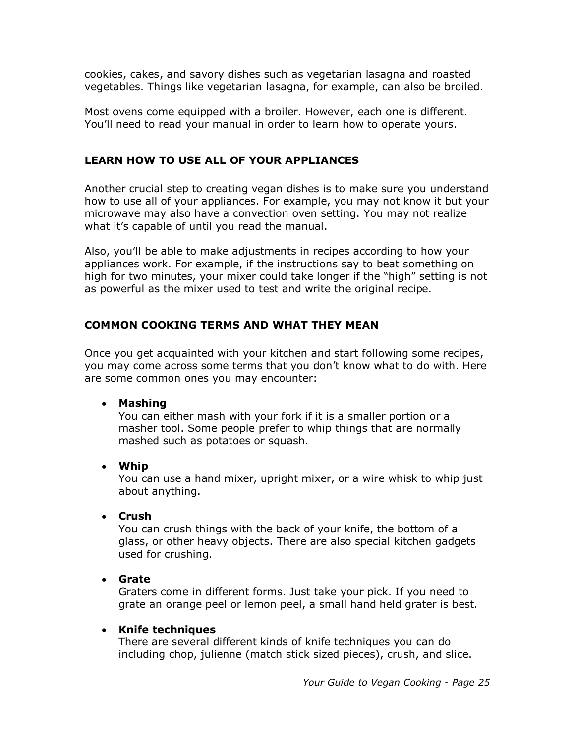cookies, cakes, and savory dishes such as vegetarian lasagna and roasted vegetables. Things like vegetarian lasagna, for example, can also be broiled.

Most ovens come equipped with a broiler. However, each one is different. You'll need to read your manual in order to learn how to operate yours.

#### <span id="page-24-0"></span>**LEARN HOW TO USE ALL OF YOUR APPLIANCES**

Another crucial step to creating vegan dishes is to make sure you understand how to use all of your appliances. For example, you may not know it but your microwave may also have a convection oven setting. You may not realize what it's capable of until you read the manual.

Also, you'll be able to make adjustments in recipes according to how your appliances work. For example, if the instructions say to beat something on high for two minutes, your mixer could take longer if the "high" setting is not as powerful as the mixer used to test and write the original recipe.

#### <span id="page-24-1"></span>**COMMON COOKING TERMS AND WHAT THEY MEAN**

Once you get acquainted with your kitchen and start following some recipes, you may come across some terms that you don't know what to do with. Here are some common ones you may encounter:

#### **Mashing**

You can either mash with your fork if it is a smaller portion or a masher tool. Some people prefer to whip things that are normally mashed such as potatoes or squash.

#### **Whip**

You can use a hand mixer, upright mixer, or a wire whisk to whip just about anything.

#### **Crush**

You can crush things with the back of your knife, the bottom of a glass, or other heavy objects. There are also special kitchen gadgets used for crushing.

#### **Grate**

Graters come in different forms. Just take your pick. If you need to grate an orange peel or lemon peel, a small hand held grater is best.

#### **Knife techniques**

There are several different kinds of knife techniques you can do including chop, julienne (match stick sized pieces), crush, and slice.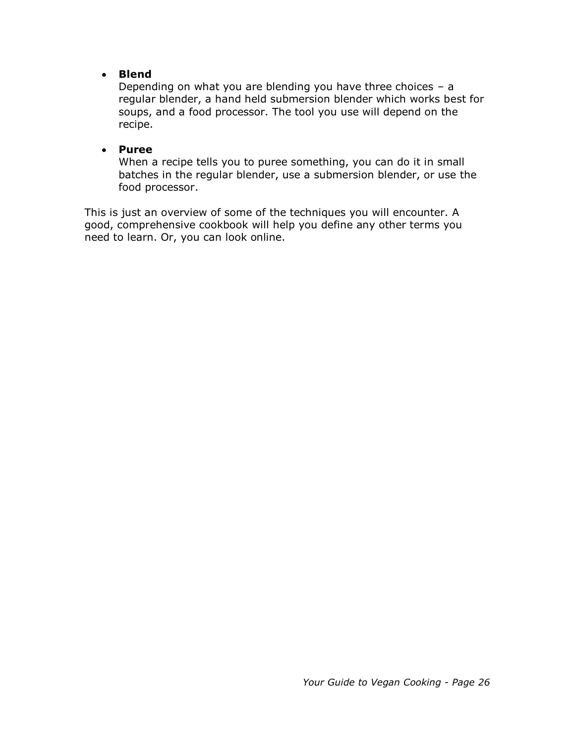**Blend** 

Depending on what you are blending you have three choices – a regular blender, a hand held submersion blender which works best for soups, and a food processor. The tool you use will depend on the recipe.

#### **Puree**

When a recipe tells you to puree something, you can do it in small batches in the regular blender, use a submersion blender, or use the food processor.

This is just an overview of some of the techniques you will encounter. A good, comprehensive cookbook will help you define any other terms you need to learn. Or, you can look online.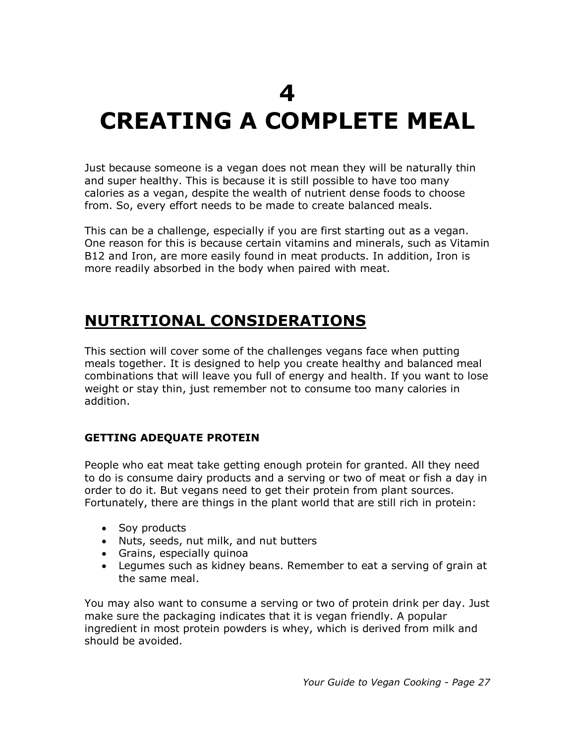# **4**

# <span id="page-26-0"></span>**CREATING A COMPLETE MEAL**

Just because someone is a vegan does not mean they will be naturally thin and super healthy. This is because it is still possible to have too many calories as a vegan, despite the wealth of nutrient dense foods to choose from. So, every effort needs to be made to create balanced meals.

This can be a challenge, especially if you are first starting out as a vegan. One reason for this is because certain vitamins and minerals, such as Vitamin B12 and Iron, are more easily found in meat products. In addition, Iron is more readily absorbed in the body when paired with meat.

# <span id="page-26-1"></span>**NUTRITIONAL CONSIDERATIONS**

This section will cover some of the challenges vegans face when putting meals together. It is designed to help you create healthy and balanced meal combinations that will leave you full of energy and health. If you want to lose weight or stay thin, just remember not to consume too many calories in addition.

#### <span id="page-26-2"></span>**GETTING ADEQUATE PROTEIN**

People who eat meat take getting enough protein for granted. All they need to do is consume dairy products and a serving or two of meat or fish a day in order to do it. But vegans need to get their protein from plant sources. Fortunately, there are things in the plant world that are still rich in protein:

- Soy products
- Nuts, seeds, nut milk, and nut butters
- Grains, especially quinoa
- Legumes such as kidney beans. Remember to eat a serving of grain at the same meal.

You may also want to consume a serving or two of protein drink per day. Just make sure the packaging indicates that it is vegan friendly. A popular ingredient in most protein powders is whey, which is derived from milk and should be avoided.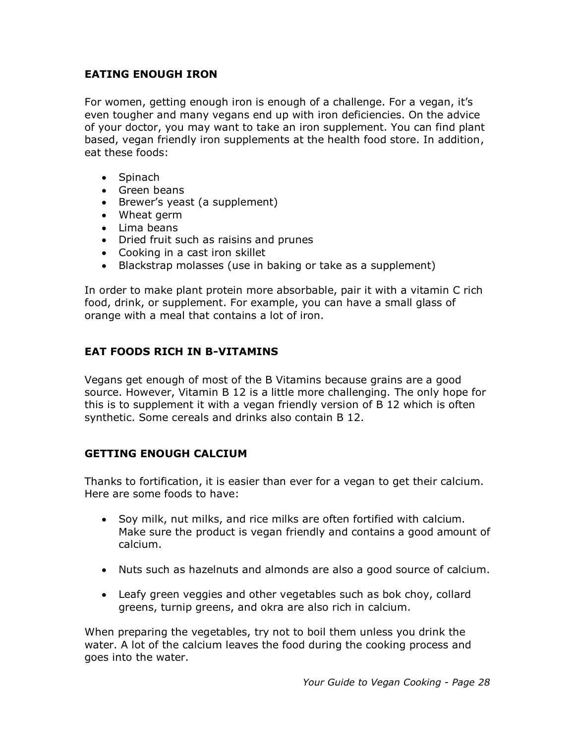#### <span id="page-27-0"></span>**EATING ENOUGH IRON**

For women, getting enough iron is enough of a challenge. For a vegan, it's even tougher and many vegans end up with iron deficiencies. On the advice of your doctor, you may want to take an iron supplement. You can find plant based, vegan friendly iron supplements at the health food store. In addition, eat these foods:

- Spinach
- Green beans
- Brewer's yeast (a supplement)
- Wheat germ
- Lima beans
- Dried fruit such as raisins and prunes
- Cooking in a cast iron skillet
- Blackstrap molasses (use in baking or take as a supplement)

In order to make plant protein more absorbable, pair it with a vitamin C rich food, drink, or supplement. For example, you can have a small glass of orange with a meal that contains a lot of iron.

#### <span id="page-27-1"></span>**EAT FOODS RICH IN B-VITAMINS**

Vegans get enough of most of the B Vitamins because grains are a good source. However, Vitamin B 12 is a little more challenging. The only hope for this is to supplement it with a vegan friendly version of B 12 which is often synthetic. Some cereals and drinks also contain B 12.

#### <span id="page-27-2"></span>**GETTING ENOUGH CALCIUM**

Thanks to fortification, it is easier than ever for a vegan to get their calcium. Here are some foods to have:

- Soy milk, nut milks, and rice milks are often fortified with calcium. Make sure the product is vegan friendly and contains a good amount of calcium.
- Nuts such as hazelnuts and almonds are also a good source of calcium.
- Leafy green veggies and other vegetables such as bok choy, collard greens, turnip greens, and okra are also rich in calcium.

When preparing the vegetables, try not to boil them unless you drink the water. A lot of the calcium leaves the food during the cooking process and goes into the water.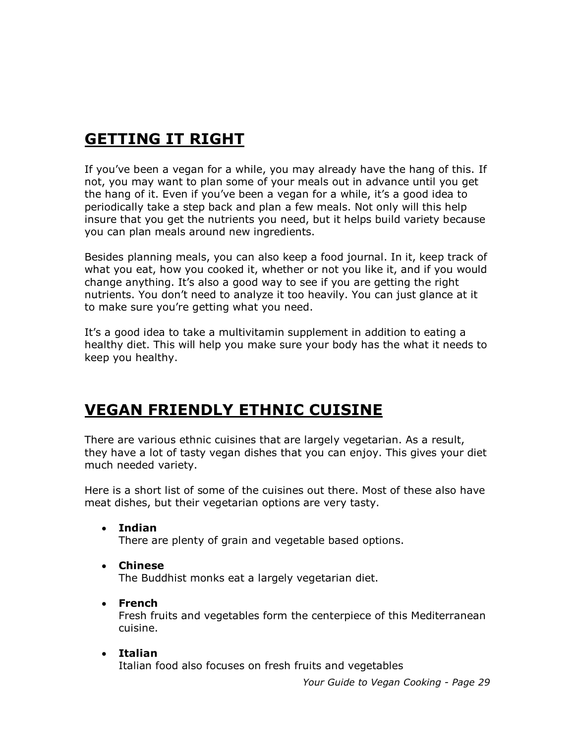# <span id="page-28-0"></span>**GETTING IT RIGHT**

If you've been a vegan for a while, you may already have the hang of this. If not, you may want to plan some of your meals out in advance until you get the hang of it. Even if you've been a vegan for a while, it's a good idea to periodically take a step back and plan a few meals. Not only will this help insure that you get the nutrients you need, but it helps build variety because you can plan meals around new ingredients.

Besides planning meals, you can also keep a food journal. In it, keep track of what you eat, how you cooked it, whether or not you like it, and if you would change anything. It's also a good way to see if you are getting the right nutrients. You don't need to analyze it too heavily. You can just glance at it to make sure you're getting what you need.

It's a good idea to take a multivitamin supplement in addition to eating a healthy diet. This will help you make sure your body has the what it needs to keep you healthy.

# <span id="page-28-1"></span>**VEGAN FRIENDLY ETHNIC CUISINE**

There are various ethnic cuisines that are largely vegetarian. As a result, they have a lot of tasty vegan dishes that you can enjoy. This gives your diet much needed variety.

Here is a short list of some of the cuisines out there. Most of these also have meat dishes, but their vegetarian options are very tasty.

- **Indian** There are plenty of grain and vegetable based options.
- **Chinese**

The Buddhist monks eat a largely vegetarian diet.

**French** 

Fresh fruits and vegetables form the centerpiece of this Mediterranean cuisine.

 **Italian**  Italian food also focuses on fresh fruits and vegetables

*Your Guide to Vegan Cooking - Page 29*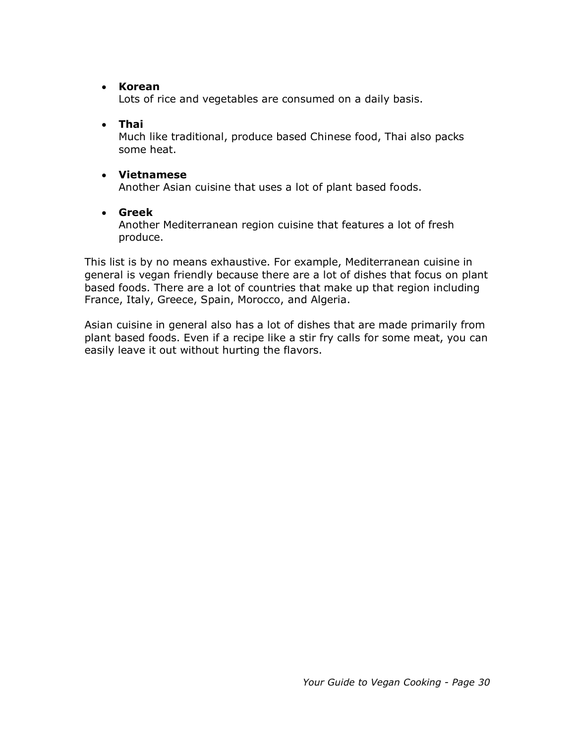#### **Korean**

Lots of rice and vegetables are consumed on a daily basis.

#### **Thai**

Much like traditional, produce based Chinese food, Thai also packs some heat.

#### **Vietnamese**

Another Asian cuisine that uses a lot of plant based foods.

#### **Greek**

Another Mediterranean region cuisine that features a lot of fresh produce.

This list is by no means exhaustive. For example, Mediterranean cuisine in general is vegan friendly because there are a lot of dishes that focus on plant based foods. There are a lot of countries that make up that region including France, Italy, Greece, Spain, Morocco, and Algeria.

Asian cuisine in general also has a lot of dishes that are made primarily from plant based foods. Even if a recipe like a stir fry calls for some meat, you can easily leave it out without hurting the flavors.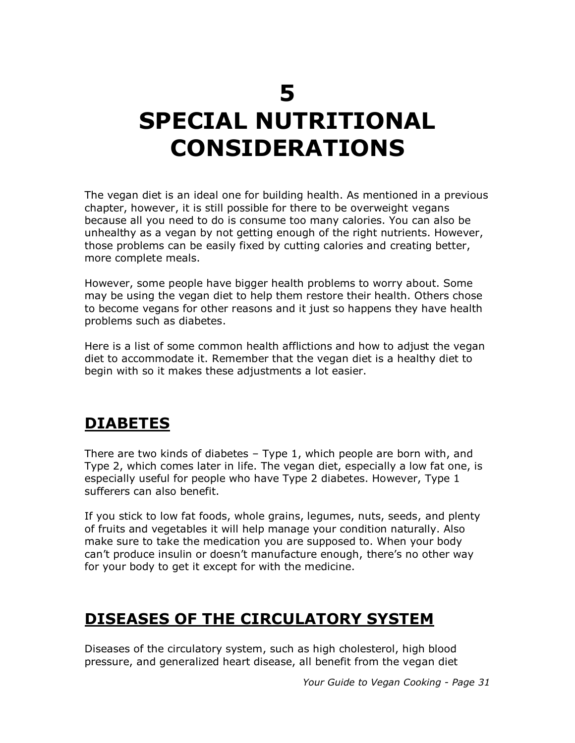# <span id="page-30-0"></span>**5 SPECIAL NUTRITIONAL CONSIDERATIONS**

The vegan diet is an ideal one for building health. As mentioned in a previous chapter, however, it is still possible for there to be overweight vegans because all you need to do is consume too many calories. You can also be unhealthy as a vegan by not getting enough of the right nutrients. However, those problems can be easily fixed by cutting calories and creating better, more complete meals.

However, some people have bigger health problems to worry about. Some may be using the vegan diet to help them restore their health. Others chose to become vegans for other reasons and it just so happens they have health problems such as diabetes.

Here is a list of some common health afflictions and how to adjust the vegan diet to accommodate it. Remember that the vegan diet is a healthy diet to begin with so it makes these adjustments a lot easier.

# <span id="page-30-1"></span>**DIABETES**

There are two kinds of diabetes – Type 1, which people are born with, and Type 2, which comes later in life. The vegan diet, especially a low fat one, is especially useful for people who have Type 2 diabetes. However, Type 1 sufferers can also benefit.

If you stick to low fat foods, whole grains, legumes, nuts, seeds, and plenty of fruits and vegetables it will help manage your condition naturally. Also make sure to take the medication you are supposed to. When your body can't produce insulin or doesn't manufacture enough, there's no other way for your body to get it except for with the medicine.

# <span id="page-30-2"></span>**DISEASES OF THE CIRCULATORY SYSTEM**

Diseases of the circulatory system, such as high cholesterol, high blood pressure, and generalized heart disease, all benefit from the vegan diet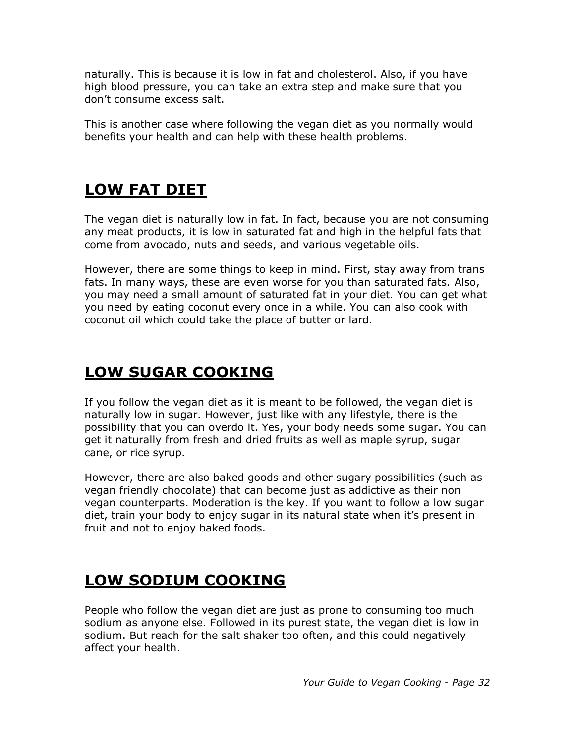naturally. This is because it is low in fat and cholesterol. Also, if you have high blood pressure, you can take an extra step and make sure that you don't consume excess salt.

This is another case where following the vegan diet as you normally would benefits your health and can help with these health problems.

# <span id="page-31-0"></span>**LOW FAT DIET**

The vegan diet is naturally low in fat. In fact, because you are not consuming any meat products, it is low in saturated fat and high in the helpful fats that come from avocado, nuts and seeds, and various vegetable oils.

However, there are some things to keep in mind. First, stay away from trans fats. In many ways, these are even worse for you than saturated fats. Also, you may need a small amount of saturated fat in your diet. You can get what you need by eating coconut every once in a while. You can also cook with coconut oil which could take the place of butter or lard.

# <span id="page-31-1"></span>**LOW SUGAR COOKING**

If you follow the vegan diet as it is meant to be followed, the vegan diet is naturally low in sugar. However, just like with any lifestyle, there is the possibility that you can overdo it. Yes, your body needs some sugar. You can get it naturally from fresh and dried fruits as well as maple syrup, sugar cane, or rice syrup.

However, there are also baked goods and other sugary possibilities (such as vegan friendly chocolate) that can become just as addictive as their non vegan counterparts. Moderation is the key. If you want to follow a low sugar diet, train your body to enjoy sugar in its natural state when it's present in fruit and not to enjoy baked foods.

# <span id="page-31-2"></span>**LOW SODIUM COOKING**

People who follow the vegan diet are just as prone to consuming too much sodium as anyone else. Followed in its purest state, the vegan diet is low in sodium. But reach for the salt shaker too often, and this could negatively affect your health.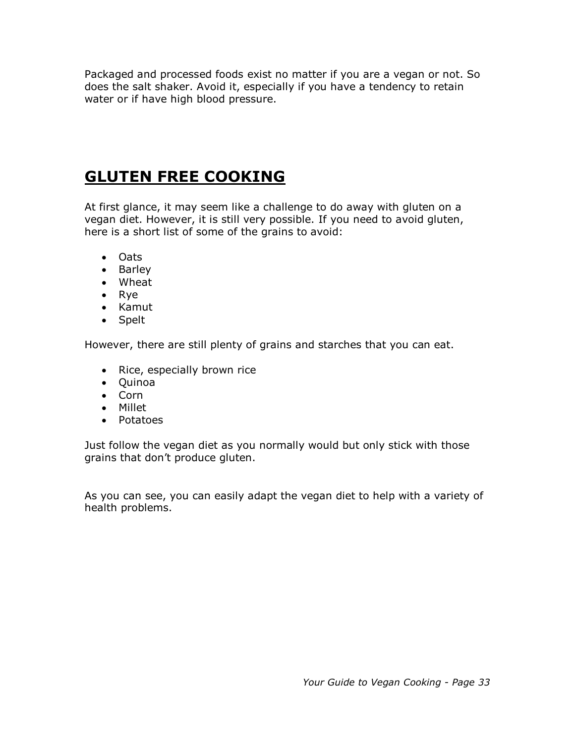Packaged and processed foods exist no matter if you are a vegan or not. So does the salt shaker. Avoid it, especially if you have a tendency to retain water or if have high blood pressure.

# <span id="page-32-0"></span>**GLUTEN FREE COOKING**

At first glance, it may seem like a challenge to do away with gluten on a vegan diet. However, it is still very possible. If you need to avoid gluten, here is a short list of some of the grains to avoid:

- Oats
- Barley
- Wheat
- Rye
- Kamut
- Spelt

However, there are still plenty of grains and starches that you can eat.

- Rice, especially brown rice
- Quinoa
- Corn
- Millet
- Potatoes

Just follow the vegan diet as you normally would but only stick with those grains that don't produce gluten.

As you can see, you can easily adapt the vegan diet to help with a variety of health problems.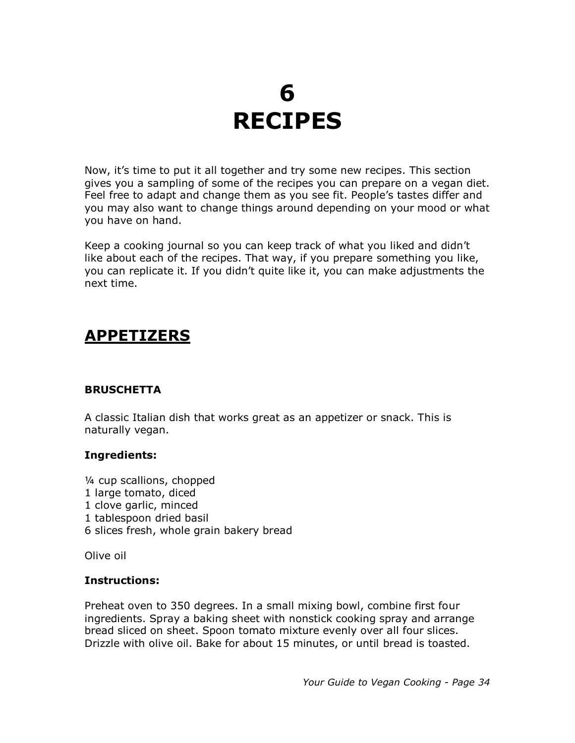# **6 RECIPES**

<span id="page-33-0"></span>Now, it's time to put it all together and try some new recipes. This section gives you a sampling of some of the recipes you can prepare on a vegan diet. Feel free to adapt and change them as you see fit. People's tastes differ and you may also want to change things around depending on your mood or what you have on hand.

Keep a cooking journal so you can keep track of what you liked and didn't like about each of the recipes. That way, if you prepare something you like, you can replicate it. If you didn't quite like it, you can make adjustments the next time.

# <span id="page-33-1"></span>**APPETIZERS**

#### <span id="page-33-2"></span>**BRUSCHETTA**

A classic Italian dish that works great as an appetizer or snack. This is naturally vegan.

#### **Ingredients:**

¼ cup scallions, chopped 1 large tomato, diced 1 clove garlic, minced 1 tablespoon dried basil 6 slices fresh, whole grain bakery bread

Olive oil

#### **Instructions:**

Preheat oven to 350 degrees. In a small mixing bowl, combine first four ingredients. Spray a baking sheet with nonstick cooking spray and arrange bread sliced on sheet. Spoon tomato mixture evenly over all four slices. Drizzle with olive oil. Bake for about 15 minutes, or until bread is toasted.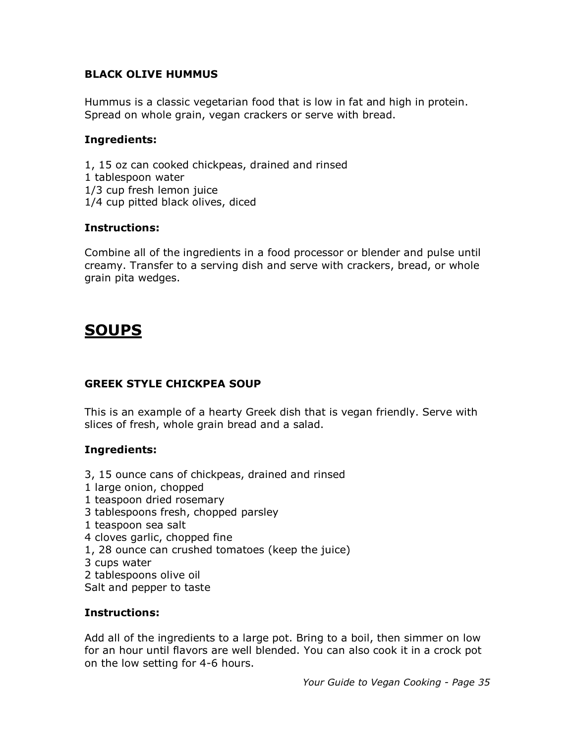#### <span id="page-34-0"></span>**BLACK OLIVE HUMMUS**

Hummus is a classic vegetarian food that is low in fat and high in protein. Spread on whole grain, vegan crackers or serve with bread.

#### **Ingredients:**

1, 15 oz can cooked chickpeas, drained and rinsed 1 tablespoon water 1/3 cup fresh lemon juice 1/4 cup pitted black olives, diced

#### **Instructions:**

Combine all of the ingredients in a food processor or blender and pulse until creamy. Transfer to a serving dish and serve with crackers, bread, or whole grain pita wedges.

# <span id="page-34-1"></span>**SOUPS**

#### <span id="page-34-2"></span>**GREEK STYLE CHICKPEA SOUP**

This is an example of a hearty Greek dish that is vegan friendly. Serve with slices of fresh, whole grain bread and a salad.

#### **Ingredients:**

3, 15 ounce cans of chickpeas, drained and rinsed 1 large onion, chopped 1 teaspoon dried rosemary 3 tablespoons fresh, chopped parsley 1 teaspoon sea salt 4 cloves garlic, chopped fine 1, 28 ounce can crushed tomatoes (keep the juice) 3 cups water 2 tablespoons olive oil Salt and pepper to taste

#### **Instructions:**

Add all of the ingredients to a large pot. Bring to a boil, then simmer on low for an hour until flavors are well blended. You can also cook it in a crock pot on the low setting for 4-6 hours.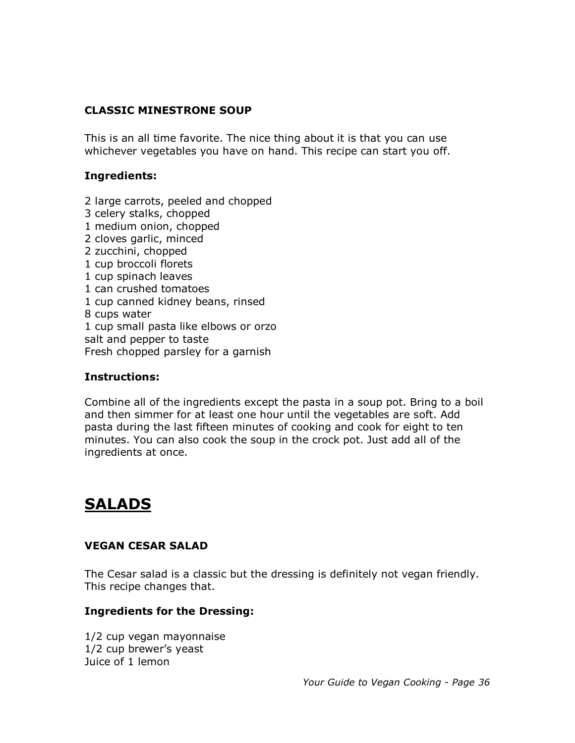#### <span id="page-35-0"></span>**CLASSIC MINESTRONE SOUP**

This is an all time favorite. The nice thing about it is that you can use whichever vegetables you have on hand. This recipe can start you off.

#### **Ingredients:**

2 large carrots, peeled and chopped 3 celery stalks, chopped 1 medium onion, chopped 2 cloves garlic, minced 2 zucchini, chopped 1 cup broccoli florets 1 cup spinach leaves 1 can crushed tomatoes 1 cup canned kidney beans, rinsed 8 cups water 1 cup small pasta like elbows or orzo salt and pepper to taste Fresh chopped parsley for a garnish

#### **Instructions:**

Combine all of the ingredients except the pasta in a soup pot. Bring to a boil and then simmer for at least one hour until the vegetables are soft. Add pasta during the last fifteen minutes of cooking and cook for eight to ten minutes. You can also cook the soup in the crock pot. Just add all of the ingredients at once.

# <span id="page-35-1"></span>**SALADS**

#### <span id="page-35-2"></span>**VEGAN CESAR SALAD**

The Cesar salad is a classic but the dressing is definitely not vegan friendly. This recipe changes that.

#### **Ingredients for the Dressing:**

1/2 cup vegan mayonnaise 1/2 cup brewer's yeast Juice of 1 lemon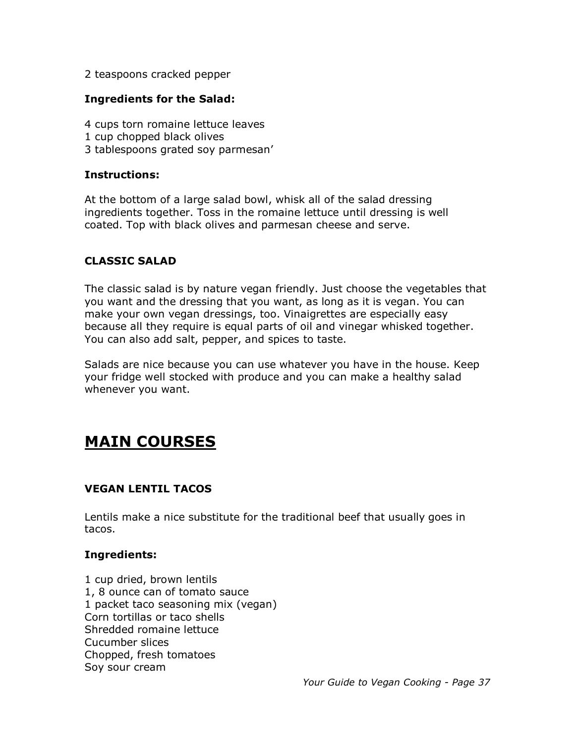2 teaspoons cracked pepper

#### **Ingredients for the Salad:**

- 4 cups torn romaine lettuce leaves
- 1 cup chopped black olives
- 3 tablespoons grated soy parmesan'

#### **Instructions:**

At the bottom of a large salad bowl, whisk all of the salad dressing ingredients together. Toss in the romaine lettuce until dressing is well coated. Top with black olives and parmesan cheese and serve.

#### <span id="page-36-0"></span>**CLASSIC SALAD**

The classic salad is by nature vegan friendly. Just choose the vegetables that you want and the dressing that you want, as long as it is vegan. You can make your own vegan dressings, too. Vinaigrettes are especially easy because all they require is equal parts of oil and vinegar whisked together. You can also add salt, pepper, and spices to taste.

Salads are nice because you can use whatever you have in the house. Keep your fridge well stocked with produce and you can make a healthy salad whenever you want.

### <span id="page-36-1"></span>**MAIN COURSES**

#### <span id="page-36-2"></span>**VEGAN LENTIL TACOS**

Lentils make a nice substitute for the traditional beef that usually goes in tacos.

#### **Ingredients:**

1 cup dried, brown lentils 1, 8 ounce can of tomato sauce 1 packet taco seasoning mix (vegan) Corn tortillas or taco shells Shredded romaine lettuce Cucumber slices Chopped, fresh tomatoes Soy sour cream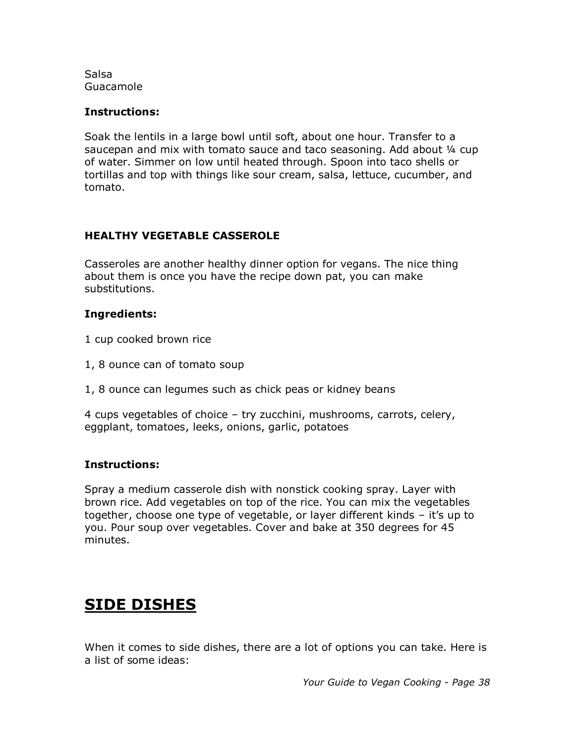Salsa Guacamole

#### **Instructions:**

Soak the lentils in a large bowl until soft, about one hour. Transfer to a saucepan and mix with tomato sauce and taco seasoning. Add about 1/4 cup of water. Simmer on low until heated through. Spoon into taco shells or tortillas and top with things like sour cream, salsa, lettuce, cucumber, and tomato.

#### <span id="page-37-0"></span>**HEALTHY VEGETABLE CASSEROLE**

Casseroles are another healthy dinner option for vegans. The nice thing about them is once you have the recipe down pat, you can make substitutions.

#### **Ingredients:**

- 1 cup cooked brown rice
- 1, 8 ounce can of tomato soup
- 1, 8 ounce can legumes such as chick peas or kidney beans

4 cups vegetables of choice – try zucchini, mushrooms, carrots, celery, eggplant, tomatoes, leeks, onions, garlic, potatoes

#### **Instructions:**

Spray a medium casserole dish with nonstick cooking spray. Layer with brown rice. Add vegetables on top of the rice. You can mix the vegetables together, choose one type of vegetable, or layer different kinds – it's up to you. Pour soup over vegetables. Cover and bake at 350 degrees for 45 minutes.

# <span id="page-37-1"></span>**SIDE DISHES**

When it comes to side dishes, there are a lot of options you can take. Here is a list of some ideas: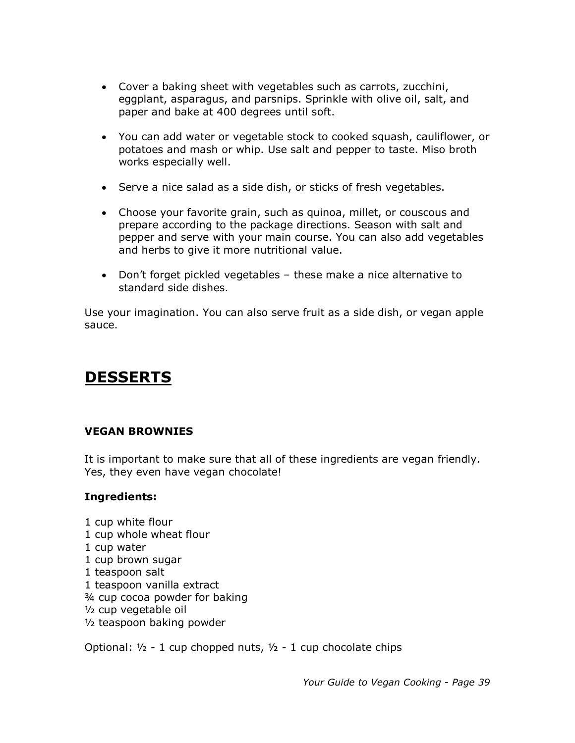- Cover a baking sheet with vegetables such as carrots, zucchini, eggplant, asparagus, and parsnips. Sprinkle with olive oil, salt, and paper and bake at 400 degrees until soft.
- You can add water or vegetable stock to cooked squash, cauliflower, or potatoes and mash or whip. Use salt and pepper to taste. Miso broth works especially well.
- Serve a nice salad as a side dish, or sticks of fresh vegetables.
- Choose your favorite grain, such as quinoa, millet, or couscous and prepare according to the package directions. Season with salt and pepper and serve with your main course. You can also add vegetables and herbs to give it more nutritional value.
- Don't forget pickled vegetables these make a nice alternative to standard side dishes.

Use your imagination. You can also serve fruit as a side dish, or vegan apple sauce.

# <span id="page-38-0"></span>**DESSERTS**

#### <span id="page-38-1"></span>**VEGAN BROWNIES**

It is important to make sure that all of these ingredients are vegan friendly. Yes, they even have vegan chocolate!

#### **Ingredients:**

1 cup white flour 1 cup whole wheat flour 1 cup water 1 cup brown sugar 1 teaspoon salt 1 teaspoon vanilla extract ¾ cup cocoa powder for baking ½ cup vegetable oil ½ teaspoon baking powder

Optional:  $1/2 - 1$  cup chopped nuts,  $1/2 - 1$  cup chocolate chips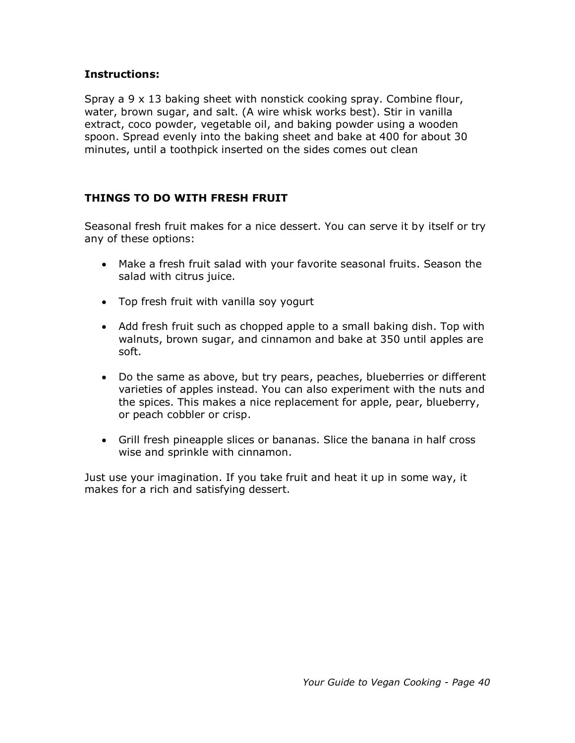#### **Instructions:**

Spray a  $9 \times 13$  baking sheet with nonstick cooking spray. Combine flour, water, brown sugar, and salt. (A wire whisk works best). Stir in vanilla extract, coco powder, vegetable oil, and baking powder using a wooden spoon. Spread evenly into the baking sheet and bake at 400 for about 30 minutes, until a toothpick inserted on the sides comes out clean

#### <span id="page-39-0"></span>**THINGS TO DO WITH FRESH FRUIT**

Seasonal fresh fruit makes for a nice dessert. You can serve it by itself or try any of these options:

- Make a fresh fruit salad with your favorite seasonal fruits. Season the salad with citrus juice.
- Top fresh fruit with vanilla soy yogurt
- Add fresh fruit such as chopped apple to a small baking dish. Top with walnuts, brown sugar, and cinnamon and bake at 350 until apples are soft.
- Do the same as above, but try pears, peaches, blueberries or different varieties of apples instead. You can also experiment with the nuts and the spices. This makes a nice replacement for apple, pear, blueberry, or peach cobbler or crisp.
- Grill fresh pineapple slices or bananas. Slice the banana in half cross wise and sprinkle with cinnamon.

Just use your imagination. If you take fruit and heat it up in some way, it makes for a rich and satisfying dessert.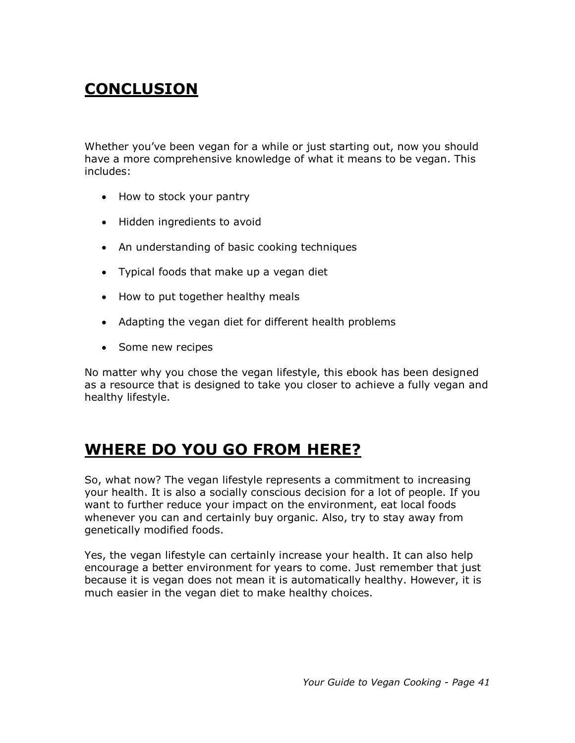# <span id="page-40-0"></span>**CONCLUSION**

Whether you've been vegan for a while or just starting out, now you should have a more comprehensive knowledge of what it means to be vegan. This includes:

- How to stock your pantry
- Hidden ingredients to avoid
- An understanding of basic cooking techniques
- Typical foods that make up a vegan diet
- How to put together healthy meals
- Adapting the vegan diet for different health problems
- Some new recipes

No matter why you chose the vegan lifestyle, this ebook has been designed as a resource that is designed to take you closer to achieve a fully vegan and healthy lifestyle.

# <span id="page-40-1"></span>**WHERE DO YOU GO FROM HERE?**

So, what now? The vegan lifestyle represents a commitment to increasing your health. It is also a socially conscious decision for a lot of people. If you want to further reduce your impact on the environment, eat local foods whenever you can and certainly buy organic. Also, try to stay away from genetically modified foods.

Yes, the vegan lifestyle can certainly increase your health. It can also help encourage a better environment for years to come. Just remember that just because it is vegan does not mean it is automatically healthy. However, it is much easier in the vegan diet to make healthy choices.